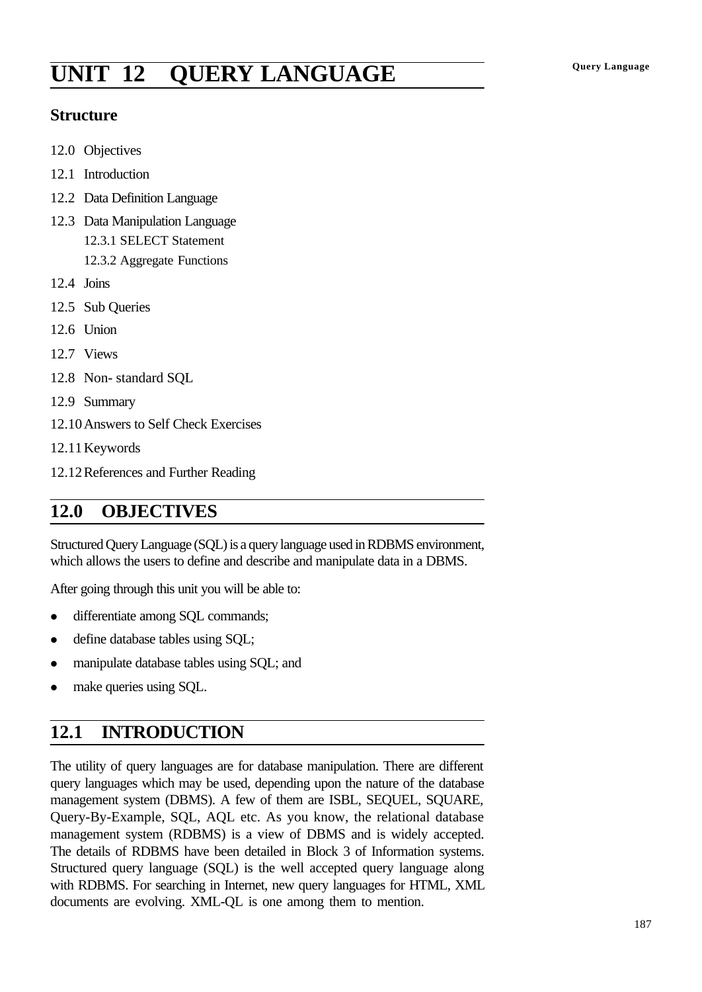# **Query Language UNIT 12 QUERY LANGUAGE**

#### **Structure**

- 12.0 Objectives
- 12.1 Introduction
- 12.2 Data Definition Language
- 12.3 Data Manipulation Language 12.3.1 SELECT Statement 12.3.2 Aggregate Functions
- 12.4 Joins
- 12.5 Sub Queries
- 12.6 Union
- 12.7 Views
- 12.8 Non- standard SQL
- 12.9 Summary
- 12.10Answers to Self Check Exercises
- 12.11Keywords
- 12.12References and Further Reading

## **12.0 OBJECTIVES**

Structured Query Language (SQL) is a query language used in RDBMS environment, which allows the users to define and describe and manipulate data in a DBMS.

After going through this unit you will be able to:

- differentiate among SQL commands;
- define database tables using SQL;
- manipulate database tables using SQL; and
- make queries using SQL.

## **12.1 INTRODUCTION**

The utility of query languages are for database manipulation. There are different query languages which may be used, depending upon the nature of the database management system (DBMS). A few of them are ISBL, SEQUEL, SQUARE, Query-By-Example, SQL, AQL etc. As you know, the relational database management system (RDBMS) is a view of DBMS and is widely accepted. The details of RDBMS have been detailed in Block 3 of Information systems. Structured query language (SQL) is the well accepted query language along with RDBMS. For searching in Internet, new query languages for HTML, XML documents are evolving. XML-QL is one among them to mention.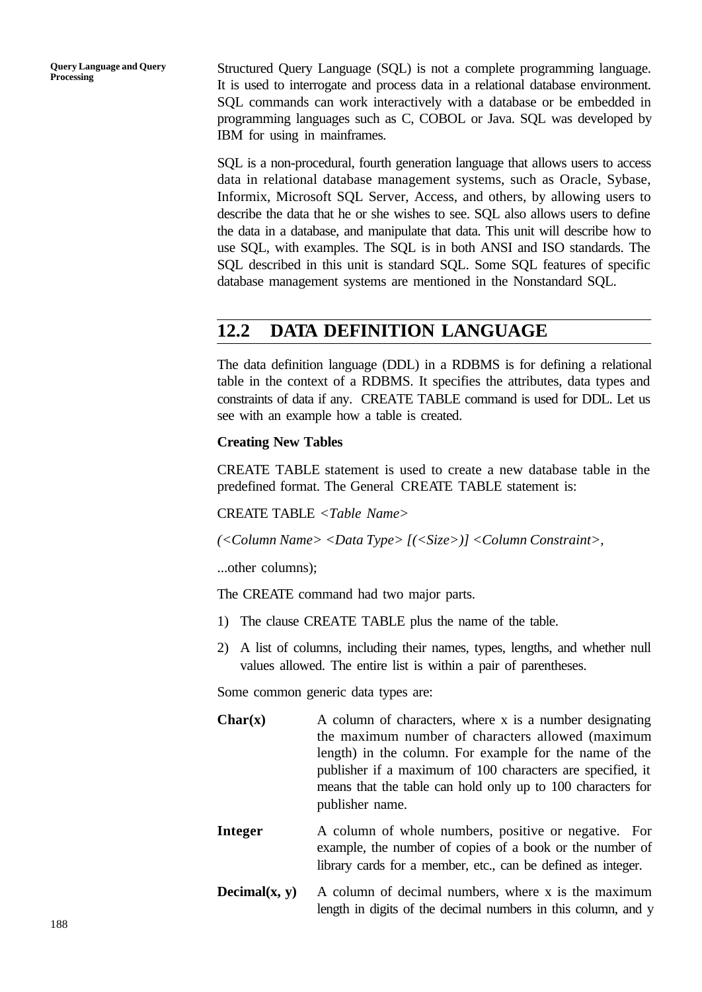**Query Language and Query Processing**

Structured Query Language (SQL) is not a complete programming language. It is used to interrogate and process data in a relational database environment. SQL commands can work interactively with a database or be embedded in programming languages such as C, COBOL or Java. SQL was developed by IBM for using in mainframes.

SQL is a non-procedural, fourth generation language that allows users to access data in relational database management systems, such as Oracle, Sybase, Informix, Microsoft SQL Server, Access, and others, by allowing users to describe the data that he or she wishes to see. SQL also allows users to define the data in a database, and manipulate that data. This unit will describe how to use SQL, with examples. The SQL is in both ANSI and ISO standards. The SQL described in this unit is standard SQL. Some SQL features of specific database management systems are mentioned in the Nonstandard SQL.

## **12.2 DATA DEFINITION LANGUAGE**

The data definition language (DDL) in a RDBMS is for defining a relational table in the context of a RDBMS. It specifies the attributes, data types and constraints of data if any. CREATE TABLE command is used for DDL. Let us see with an example how a table is created.

#### **Creating New Tables**

CREATE TABLE statement is used to create a new database table in the predefined format. The General CREATE TABLE statement is:

CREATE TABLE *<Table Name>*

*(<Column Name> <Data Type> [(<Size>)] <Column Constraint>,*

...other columns);

The CREATE command had two major parts.

- 1) The clause CREATE TABLE plus the name of the table.
- 2) A list of columns, including their names, types, lengths, and whether null values allowed. The entire list is within a pair of parentheses.

Some common generic data types are:

- **Char(x)** A column of characters, where x is a number designating the maximum number of characters allowed (maximum length) in the column. For example for the name of the publisher if a maximum of 100 characters are specified, it means that the table can hold only up to 100 characters for publisher name.
- **Integer** A column of whole numbers, positive or negative. For example, the number of copies of a book or the number of library cards for a member, etc., can be defined as integer.
- **Decimal(x, y)** A column of decimal numbers, where x is the maximum length in digits of the decimal numbers in this column, and y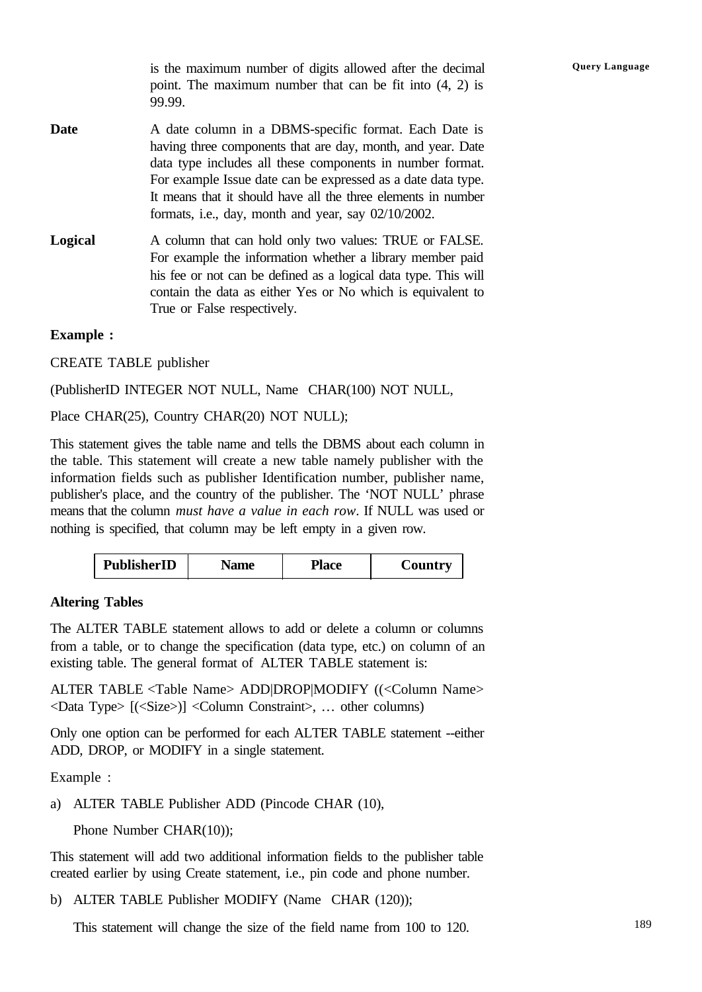**Query Language** is the maximum number of digits allowed after the decimal point. The maximum number that can be fit into (4, 2) is 99.99.

- **Date** A date column in a DBMS-specific format. Each Date is having three components that are day, month, and year. Date data type includes all these components in number format. For example Issue date can be expressed as a date data type. It means that it should have all the three elements in number formats, i.e., day, month and year, say 02/10/2002.
- **Logical** A column that can hold only two values: TRUE or FALSE. For example the information whether a library member paid his fee or not can be defined as a logical data type. This will contain the data as either Yes or No which is equivalent to True or False respectively.

#### **Example :**

CREATE TABLE publisher

(PublisherID INTEGER NOT NULL, Name CHAR(100) NOT NULL,

Place CHAR(25), Country CHAR(20) NOT NULL);

This statement gives the table name and tells the DBMS about each column in the table. This statement will create a new table namely publisher with the information fields such as publisher Identification number, publisher name, publisher's place, and the country of the publisher. The 'NOT NULL' phrase means that the column *must have a value in each row*. If NULL was used or nothing is specified, that column may be left empty in a given row.

#### **Altering Tables**

The ALTER TABLE statement allows to add or delete a column or columns from a table, or to change the specification (data type, etc.) on column of an existing table. The general format of ALTER TABLE statement is:

ALTER TABLE <Table Name> ADD|DROP|MODIFY ((<Column Name> <Data Type> [(<Size>)] <Column Constraint>, … other columns)

Only one option can be performed for each ALTER TABLE statement --either ADD, DROP, or MODIFY in a single statement.

Example :

- a) ALTER TABLE Publisher ADD (Pincode CHAR (10),
	- Phone Number CHAR(10));

This statement will add two additional information fields to the publisher table created earlier by using Create statement, i.e., pin code and phone number.

b) ALTER TABLE Publisher MODIFY (Name CHAR (120));

This statement will change the size of the field name from 100 to 120.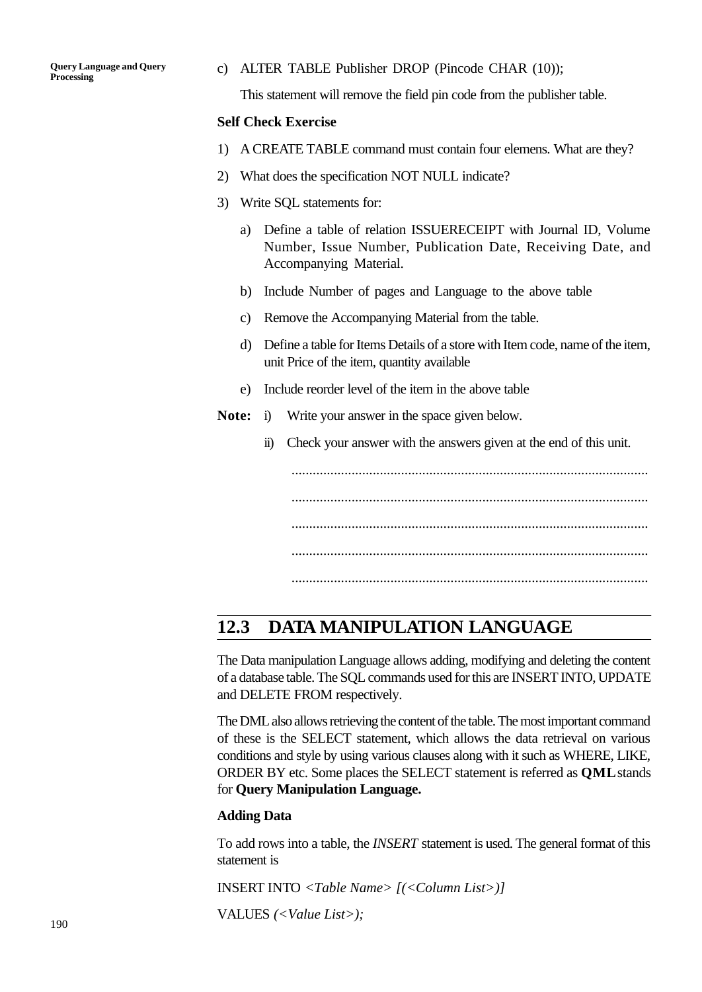c) ALTER TABLE Publisher DROP (Pincode CHAR (10));

This statement will remove the field pin code from the publisher table.

#### **Self Check Exercise**

- 1) A CREATE TABLE command must contain four elemens. What are they?
- 2) What does the specification NOT NULL indicate?
- 3) Write SQL statements for:
	- a) Define a table of relation ISSUERECEIPT with Journal ID, Volume Number, Issue Number, Publication Date, Receiving Date, and Accompanying Material.
	- b) Include Number of pages and Language to the above table
	- c) Remove the Accompanying Material from the table.
	- d) Define a table for Items Details of a store with Item code, name of the item, unit Price of the item, quantity available
	- e) Include reorder level of the item in the above table
- **Note:** i) Write your answer in the space given below.
	- ii) Check your answer with the answers given at the end of this unit.

..................................................................................................... ..................................................................................................... ..................................................................................................... ..................................................................................................... .....................................................................................................

## **12.3 DATA MANIPULATION LANGUAGE**

The Data manipulation Language allows adding, modifying and deleting the content of a database table. The SQL commands used for this are INSERT INTO, UPDATE and DELETE FROM respectively.

The DML also allows retrieving the content of the table. The most important command of these is the SELECT statement, which allows the data retrieval on various conditions and style by using various clauses along with it such as WHERE, LIKE, ORDER BY etc. Some places the SELECT statement is referred as **QML** stands for **Query Manipulation Language.**

#### **Adding Data**

To add rows into a table, the *INSERT* statement is used. The general format of this statement is

INSERT INTO *<Table Name> [(<Column List>)]*

VALUES *(<Value List>);*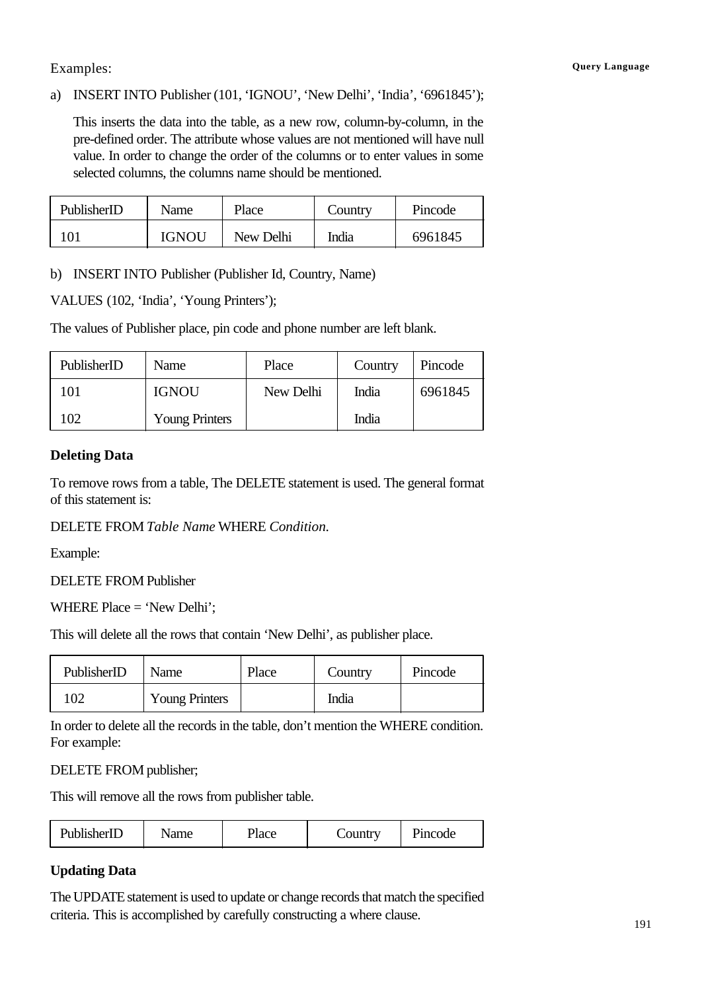#### Examples: **Query Language**

#### a) INSERT INTO Publisher (101, 'IGNOU', 'New Delhi', 'India', '6961845');

This inserts the data into the table, as a new row, column-by-column, in the pre-defined order. The attribute whose values are not mentioned will have null value. In order to change the order of the columns or to enter values in some selected columns, the columns name should be mentioned.

| PublisherID | Name         | Place     | Country | Pincode |
|-------------|--------------|-----------|---------|---------|
|             | <b>IGNOU</b> | New Delhi | India   | 6961845 |

b) INSERT INTO Publisher (Publisher Id, Country, Name)

VALUES (102, 'India', 'Young Printers');

The values of Publisher place, pin code and phone number are left blank.

| PublisherID | Name                  | Place     | Country | Pincode |
|-------------|-----------------------|-----------|---------|---------|
| 101         | <b>IGNOU</b>          | New Delhi | India   | 6961845 |
| 102         | <b>Young Printers</b> |           | India   |         |

#### **Deleting Data**

To remove rows from a table, The DELETE statement is used. The general format of this statement is:

DELETE FROM *Table Name* WHERE *Condition.*

Example:

DELETE FROM Publisher

WHERE Place = 'New Delhi';

This will delete all the rows that contain 'New Delhi', as publisher place.

| PublisherID | Name                  | Place | Country | Pincode |
|-------------|-----------------------|-------|---------|---------|
| 102         | <b>Young Printers</b> |       | India   |         |

In order to delete all the records in the table, don't mention the WHERE condition. For example:

DELETE FROM publisher;

This will remove all the rows from publisher table.

| PublisherID | Name | Place | Country | Pincode |
|-------------|------|-------|---------|---------|
|-------------|------|-------|---------|---------|

#### **Updating Data**

The UPDATE statement is used to update or change records that match the specified criteria. This is accomplished by carefully constructing a where clause.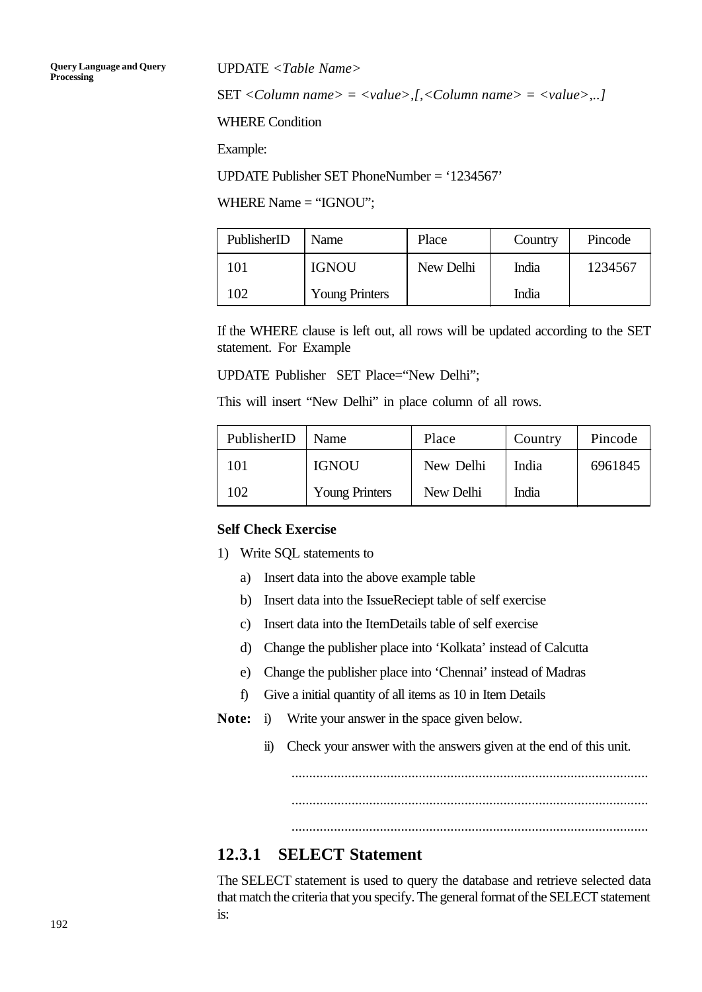UPDATE *<Table Name>*

SET *<Column name> = <value>,[,<Column name> = <value>,..]*

WHERE Condition

Example:

UPDATE Publisher SET PhoneNumber = '1234567'

WHERE Name = "IGNOU";

| PublisherID    | Name                  | Place     | Country | Pincode |
|----------------|-----------------------|-----------|---------|---------|
| 01             | <b>IGNOU</b>          | New Delhi | India   | 1234567 |
| 0 <sub>2</sub> | <b>Young Printers</b> |           | India   |         |

If the WHERE clause is left out, all rows will be updated according to the SET statement. For Example

UPDATE Publisher SET Place="New Delhi";

This will insert "New Delhi" in place column of all rows.

| PublisherID | Name                  | Place     | Country | Pincode |
|-------------|-----------------------|-----------|---------|---------|
| 101         | <b>IGNOU</b>          | New Delhi | India   | 6961845 |
| 102         | <b>Young Printers</b> | New Delhi | India   |         |

#### **Self Check Exercise**

- 1) Write SQL statements to
	- a) Insert data into the above example table
	- b) Insert data into the IssueReciept table of self exercise
	- c) Insert data into the ItemDetails table of self exercise
	- d) Change the publisher place into 'Kolkata' instead of Calcutta
	- e) Change the publisher place into 'Chennai' instead of Madras
	- f) Give a initial quantity of all items as 10 in Item Details
- **Note:** i) Write your answer in the space given below.
	- ii) Check your answer with the answers given at the end of this unit.

..................................................................................................... .....................................................................................................

.....................................................................................................

#### **12.3.1 SELECT Statement**

The SELECT statement is used to query the database and retrieve selected data that match the criteria that you specify. The general format of the SELECT statement is: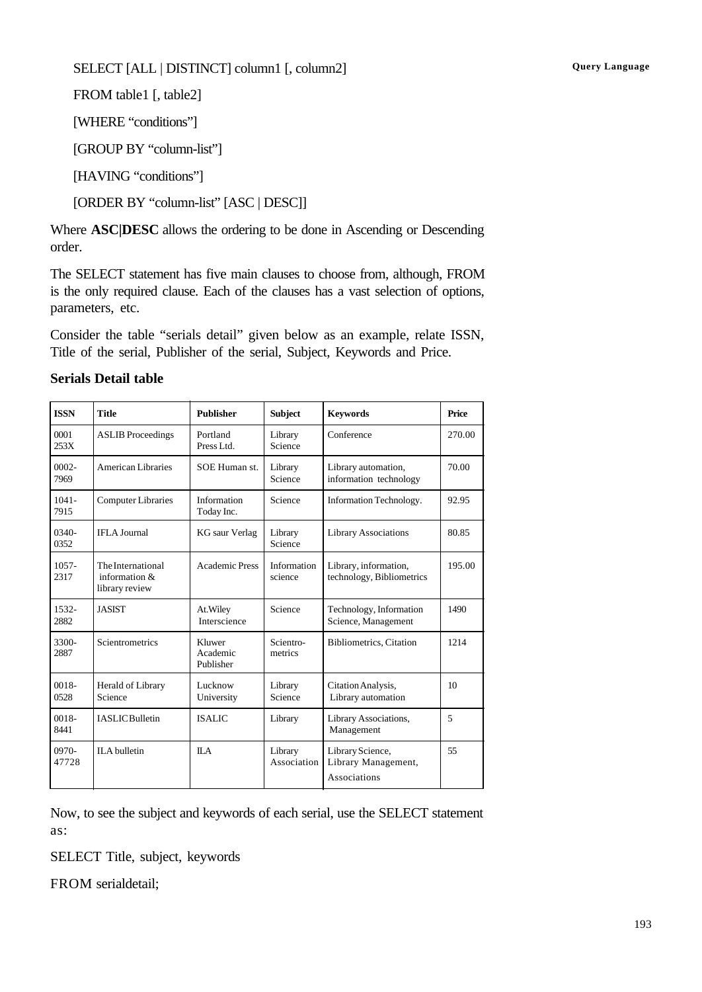#### SELECT [ALL | DISTINCT] column1 [, column2] **Query Language**

FROM table1 [, table2]

[WHERE "conditions"]

[GROUP BY "column-list"]

[HAVING "conditions"]

[ORDER BY "column-list" [ASC | DESC]]

Where **ASC|DESC** allows the ordering to be done in Ascending or Descending order.

The SELECT statement has five main clauses to choose from, although, FROM is the only required clause. Each of the clauses has a vast selection of options, parameters, etc.

Consider the table "serials detail" given below as an example, relate ISSN, Title of the serial, Publisher of the serial, Subject, Keywords and Price.

| <b>ISSN</b>      | <b>Title</b>                                         | <b>Publisher</b>                | <b>Subject</b>         | <b>Keywords</b>                                         | Price            |
|------------------|------------------------------------------------------|---------------------------------|------------------------|---------------------------------------------------------|------------------|
| 0001<br>253X     | <b>ASLIB</b> Proceedings                             | Portland<br>Press Ltd.          | Library<br>Science     | Conference                                              | 270.00           |
| $0002 -$<br>7969 | American Libraries                                   | SOE Human st.                   | Library<br>Science     | Library automation,<br>information technology           | 70.00            |
| $1041 -$<br>7915 | <b>Computer Libraries</b>                            | Information<br>Today Inc.       | Science                | Information Technology.                                 | 92.95            |
| $0340-$<br>0352  | <b>IFLA</b> Journal                                  | <b>KG</b> saur Verlag           | Library<br>Science     | <b>Library Associations</b>                             | 80.85            |
| $1057 -$<br>2317 | The International<br>information &<br>library review | <b>Academic Press</b>           | Information<br>science | Library, information,<br>technology, Bibliometrics      | 195.00           |
| 1532-<br>2882    | <b>JASIST</b>                                        | At. Wiley<br>Interscience       | Science                | Technology, Information<br>Science, Management          | 1490             |
| 3300-<br>2887    | Scientrometrics                                      | Kluwer<br>Academic<br>Publisher | Scientro-<br>metrics   | <b>Bibliometrics, Citation</b>                          | 1214             |
| $0018 -$<br>0528 | Herald of Library<br>Science                         | Lucknow<br>University           | Library<br>Science     | Citation Analysis.<br>Library automation                | 10 <sup>10</sup> |
| 0018-<br>8441    | <b>IASLIC</b> Bulletin                               | <b>ISALIC</b>                   | Library                | Library Associations,<br>Management                     | 5                |
| 0970-<br>47728   | <b>ILA</b> bulletin                                  | $\mathbf{II} \cdot \mathbf{A}$  | Library<br>Association | Library Science,<br>Library Management,<br>Associations | 55               |

#### **Serials Detail table**

Now, to see the subject and keywords of each serial, use the SELECT statement as:

SELECT Title, subject, keywords

FROM serialdetail;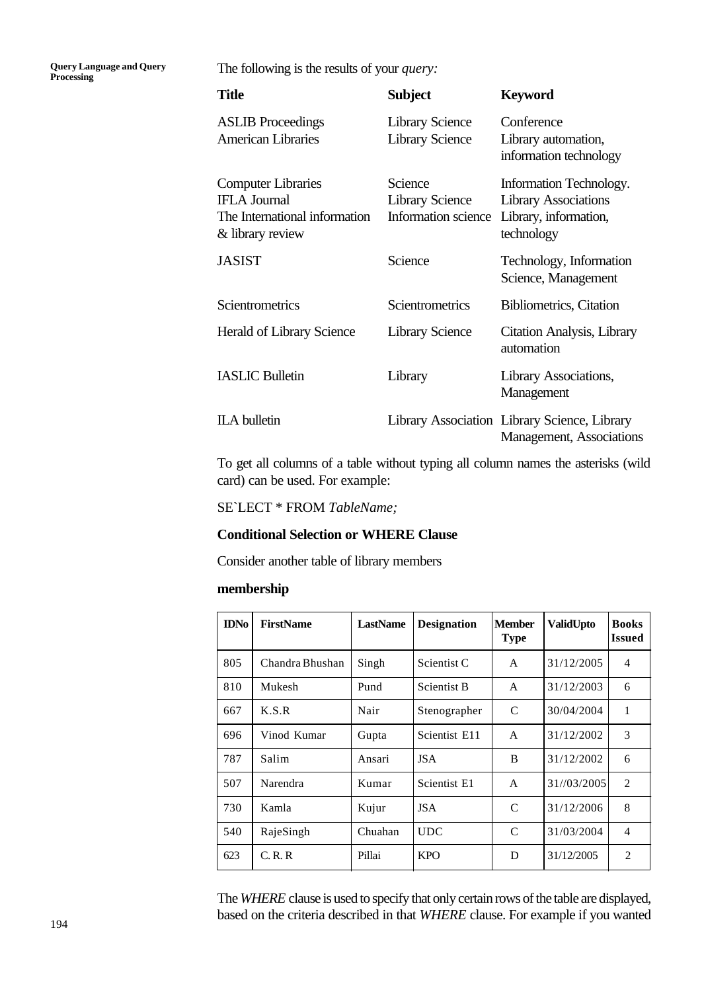**Query Language and Query Processing**

The following is the results of your *query:*

| <b>Title</b>                                                                                          | <b>Subject</b>                                           | <b>Keyword</b>                                                                                |
|-------------------------------------------------------------------------------------------------------|----------------------------------------------------------|-----------------------------------------------------------------------------------------------|
| <b>ASLIB</b> Proceedings<br><b>American Libraries</b>                                                 | <b>Library Science</b><br><b>Library Science</b>         | Conference<br>Library automation,<br>information technology                                   |
| <b>Computer Libraries</b><br><b>IFLA</b> Journal<br>The International information<br>& library review | Science<br><b>Library Science</b><br>Information science | Information Technology.<br><b>Library Associations</b><br>Library, information,<br>technology |
| <b>JASIST</b>                                                                                         | Science                                                  | Technology, Information<br>Science, Management                                                |
| Scientrometrics                                                                                       | Scientrometrics                                          | <b>Bibliometrics</b> , Citation                                                               |
| Herald of Library Science                                                                             | <b>Library Science</b>                                   | Citation Analysis, Library<br>automation                                                      |
| <b>IASLIC Bulletin</b>                                                                                | Library                                                  | Library Associations,<br>Management                                                           |
| <b>ILA</b> bulletin                                                                                   |                                                          | Library Association Library Science, Library<br>Management, Associations                      |

To get all columns of a table without typing all column names the asterisks (wild card) can be used. For example:

SE`LECT \* FROM *TableName;*

#### **Conditional Selection or WHERE Clause**

Consider another table of library members

#### **membership**

| <b>IDNo</b> | <b>FirstName</b> | LastName | <b>Designation</b>      | <b>Member</b><br><b>Type</b> | <b>ValidUpto</b> | <b>Books</b><br><b>Issued</b> |
|-------------|------------------|----------|-------------------------|------------------------------|------------------|-------------------------------|
| 805         | Chandra Bhushan  | Singh    | Scientist <sub>C</sub>  | A                            | 31/12/2005       | 4                             |
| 810         | Mukesh           | Pund     | <b>Scientist B</b>      | A                            | 31/12/2003       | 6                             |
| 667         | K.S.R            | Nair     | Stenographer            | C                            | 30/04/2004       | 1                             |
| 696         | Vinod Kumar      | Gupta    | Scientist E11           | A                            | 31/12/2002       | 3                             |
| 787         | Salim            | Ansari   | <b>JSA</b>              | B                            | 31/12/2002       | 6                             |
| 507         | <b>Narendra</b>  | Kumar    | Scientist <sub>E1</sub> | A                            | 31//03/2005      | $\overline{2}$                |
| 730         | Kamla            | Kujur    | <b>JSA</b>              | C                            | 31/12/2006       | 8                             |
| 540         | RajeSingh        | Chuahan  | UDC                     | C                            | 31/03/2004       | 4                             |
| 623         | C, R, R          | Pillai   | <b>KPO</b>              | D                            | 31/12/2005       | $\overline{2}$                |

The *WHERE* clause is used to specify that only certain rows of the table are displayed, based on the criteria described in that *WHERE* clause. For example if you wanted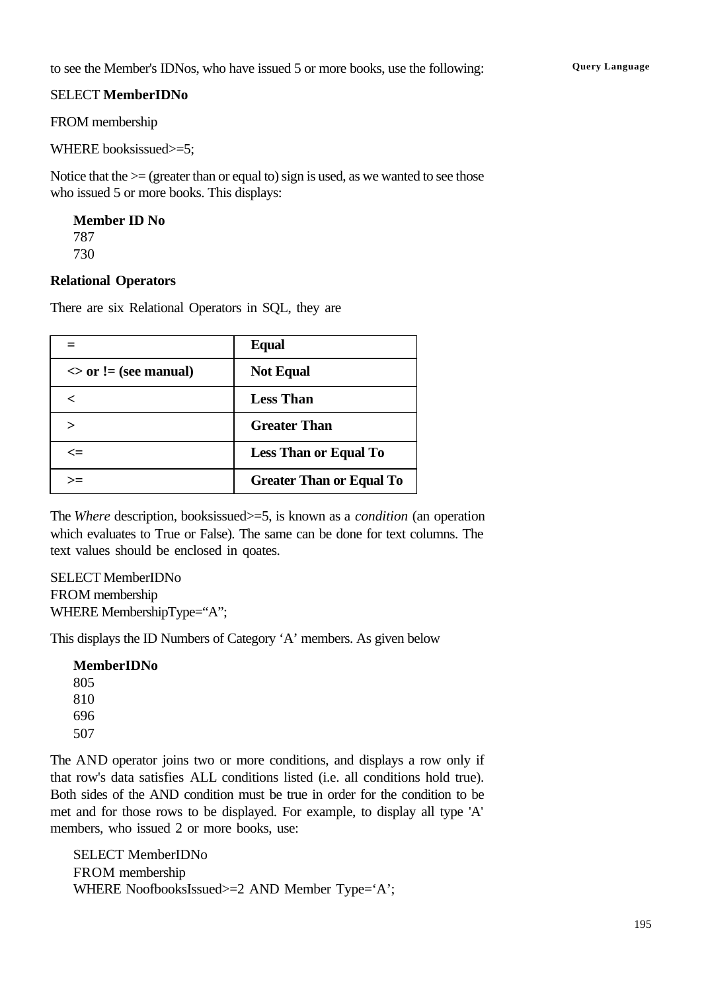to see the Member's IDNos, who have issued 5 or more books, use the following: Query Language

#### SELECT **MemberIDNo**

FROM membership

WHERE booksissued>=5;

Notice that the  $\geq$  (greater than or equal to) sign is used, as we wanted to see those who issued 5 or more books. This displays:

**Member ID No** 787 730

#### **Relational Operators**

There are six Relational Operators in SQL, they are

|                           | <b>Equal</b>                    |
|---------------------------|---------------------------------|
| $\sim$ or != (see manual) | <b>Not Equal</b>                |
| ✓                         | <b>Less Than</b>                |
|                           | <b>Greater Than</b>             |
| <=                        | <b>Less Than or Equal To</b>    |
| >=                        | <b>Greater Than or Equal To</b> |

The *Where* description, booksissued>=5, is known as a *condition* (an operation which evaluates to True or False). The same can be done for text columns. The text values should be enclosed in qoates.

SELECT MemberIDNo FROM membership WHERE MembershipType="A";

This displays the ID Numbers of Category 'A' members. As given below

**MemberIDNo** 805 810 696 507

The AND operator joins two or more conditions, and displays a row only if that row's data satisfies ALL conditions listed (i.e. all conditions hold true). Both sides of the AND condition must be true in order for the condition to be met and for those rows to be displayed. For example, to display all type 'A' members, who issued 2 or more books, use:

SELECT MemberIDNo FROM membership WHERE NoofbooksIssued>=2 AND Member Type='A';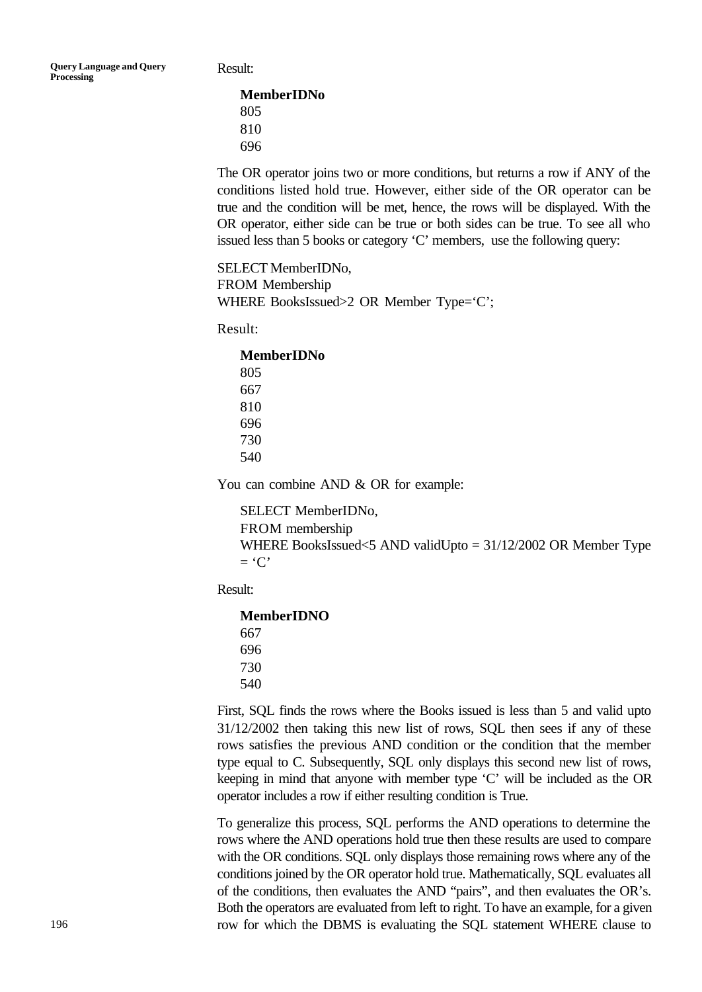Result:

**MemberIDNo** 805 810 696

The OR operator joins two or more conditions, but returns a row if ANY of the conditions listed hold true. However, either side of the OR operator can be true and the condition will be met, hence, the rows will be displayed. With the OR operator, either side can be true or both sides can be true. To see all who issued less than 5 books or category 'C' members, use the following query:

SELECT MemberIDNo, FROM Membership WHERE BooksIssued>2 OR Member Type='C';

Result:

**MemberIDNo**

You can combine AND & OR for example:

SELECT MemberIDNo, FROM membership WHERE BooksIssued<5 AND validUpto = 31/12/2002 OR Member Type  $=$  'C'

Result:

**MemberIDNO** 667 696 730 540

First, SQL finds the rows where the Books issued is less than 5 and valid upto 31/12/2002 then taking this new list of rows, SQL then sees if any of these rows satisfies the previous AND condition or the condition that the member type equal to C. Subsequently, SQL only displays this second new list of rows, keeping in mind that anyone with member type 'C' will be included as the OR operator includes a row if either resulting condition is True.

To generalize this process, SQL performs the AND operations to determine the rows where the AND operations hold true then these results are used to compare with the OR conditions. SQL only displays those remaining rows where any of the conditions joined by the OR operator hold true. Mathematically, SQL evaluates all of the conditions, then evaluates the AND "pairs", and then evaluates the OR's. Both the operators are evaluated from left to right. To have an example, for a given row for which the DBMS is evaluating the SQL statement WHERE clause to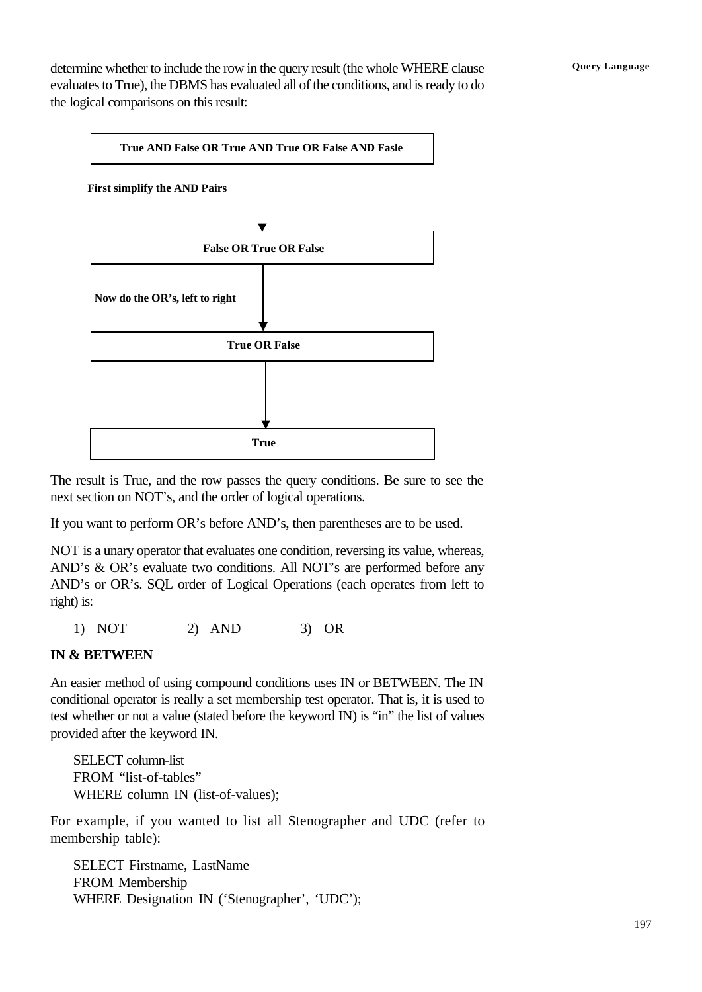determine whether to include the row in the query result (the whole WHERE clause **Query Language** evaluates to True), the DBMS has evaluated all of the conditions, and is ready to do the logical comparisons on this result:



The result is True, and the row passes the query conditions. Be sure to see the next section on NOT's, and the order of logical operations.

If you want to perform OR's before AND's, then parentheses are to be used.

NOT is a unary operator that evaluates one condition, reversing its value, whereas, AND's & OR's evaluate two conditions. All NOT's are performed before any AND's or OR's. SQL order of Logical Operations (each operates from left to right) is:

1) NOT 2) AND 3) OR

#### **IN & BETWEEN**

An easier method of using compound conditions uses IN or BETWEEN. The IN conditional operator is really a set membership test operator. That is, it is used to test whether or not a value (stated before the keyword IN) is "in" the list of values provided after the keyword IN.

SELECT column-list FROM "list-of-tables" WHERE column IN (list-of-values);

For example, if you wanted to list all Stenographer and UDC (refer to membership table):

SELECT Firstname, LastName FROM Membership WHERE Designation IN ('Stenographer', 'UDC');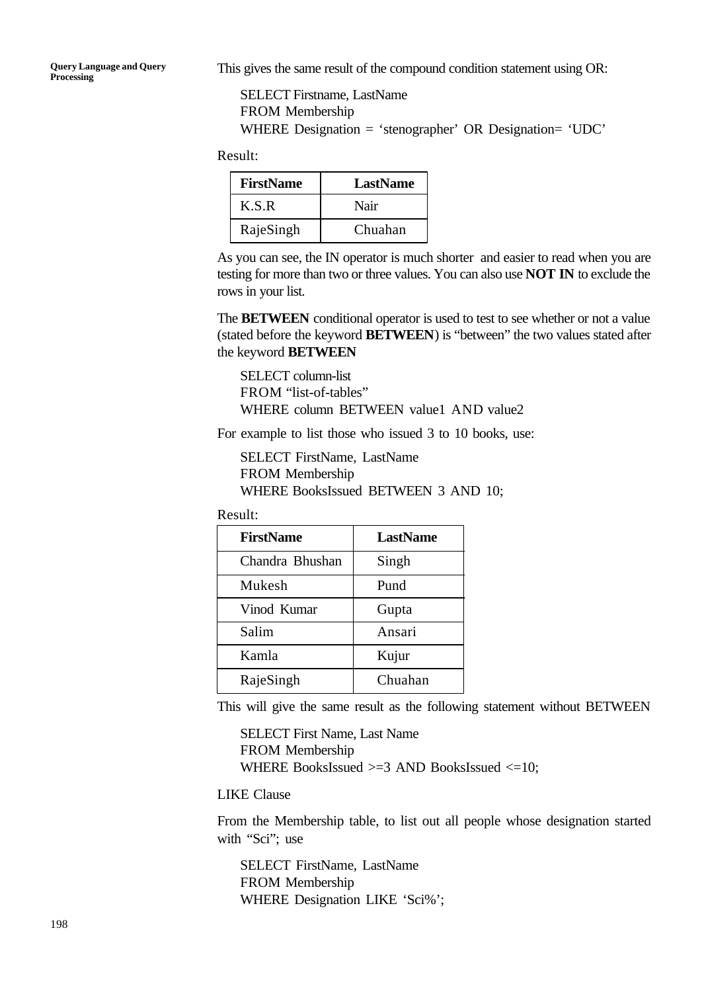This gives the same result of the compound condition statement using OR:

SELECT Firstname, LastName FROM Membership WHERE Designation = 'stenographer' OR Designation= 'UDC'

Result:

| <b>FirstName</b> | LastName |
|------------------|----------|
| K.S.R            | Nair     |
| RajeSingh        | Chuahan  |

As you can see, the IN operator is much shorter and easier to read when you are testing for more than two or three values. You can also use **NOT IN** to exclude the rows in your list.

The **BETWEEN** conditional operator is used to test to see whether or not a value (stated before the keyword **BETWEEN**) is "between" the two values stated after the keyword **BETWEEN**

SELECT column-list FROM "list-of-tables" WHERE column BETWEEN value1 AND value2

For example to list those who issued 3 to 10 books, use:

SELECT FirstName, LastName FROM Membership WHERE BooksIssued BETWEEN 3 AND 10;

Result:

| <b>FirstName</b> | LastName |
|------------------|----------|
| Chandra Bhushan  | Singh    |
| Mukesh           | Pund     |
| Vinod Kumar      | Gupta    |
| Salim            | Ansari   |
| Kamla            | Kujur    |
| RajeSingh        | Chuahan  |

This will give the same result as the following statement without BETWEEN

SELECT First Name, Last Name FROM Membership WHERE BooksIssued >=3 AND BooksIssued <=10;

LIKE Clause

From the Membership table, to list out all people whose designation started with "Sci"; use

SELECT FirstName, LastName FROM Membership WHERE Designation LIKE 'Sci%';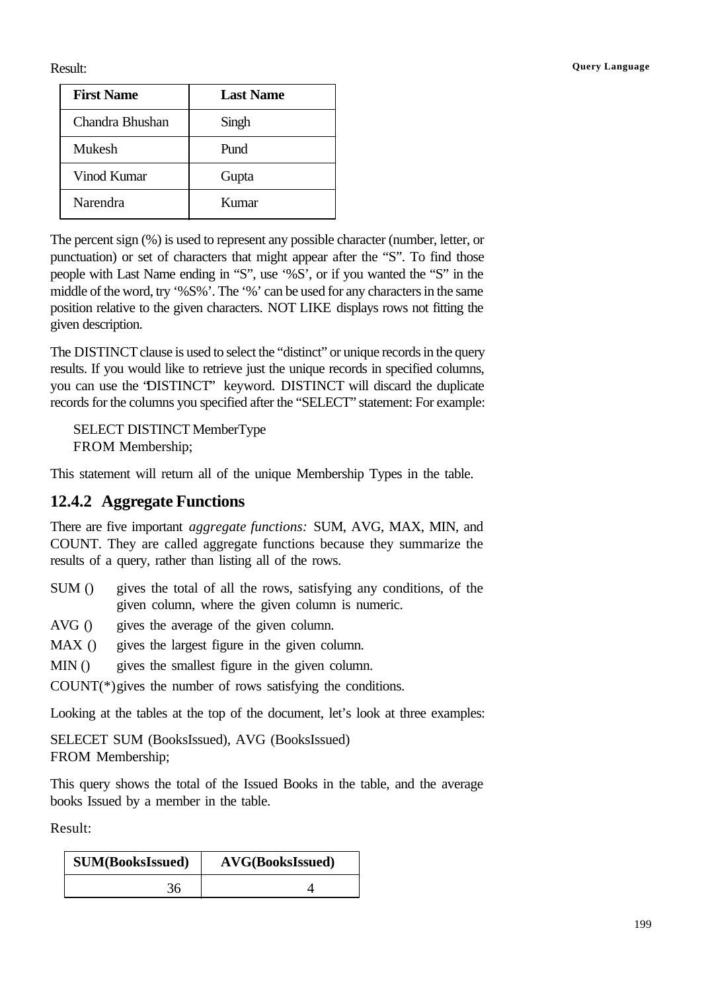| <b>First Name</b> | <b>Last Name</b> |
|-------------------|------------------|
| Chandra Bhushan   | Singh            |
| Mukesh            | Pund             |
| Vinod Kumar       | Gupta            |
| Narendra          | Kumar            |

The percent sign (%) is used to represent any possible character (number, letter, or punctuation) or set of characters that might appear after the "S". To find those people with Last Name ending in "S", use '%S', or if you wanted the "S" in the middle of the word, try '%S%'. The '%' can be used for any characters in the same position relative to the given characters. NOT LIKE displays rows not fitting the given description.

The DISTINCT clause is used to select the "distinct" or unique records in the query results. If you would like to retrieve just the unique records in specified columns, you can use the "DISTINCT" keyword. DISTINCT will discard the duplicate records for the columns you specified after the "SELECT" statement: For example:

SELECT DISTINCT MemberType FROM Membership;

This statement will return all of the unique Membership Types in the table.

### **12.4.2 Aggregate Functions**

There are five important *aggregate functions:* SUM, AVG, MAX, MIN, and COUNT. They are called aggregate functions because they summarize the results of a query, rather than listing all of the rows.

- SUM () gives the total of all the rows, satisfying any conditions, of the given column, where the given column is numeric.
- AVG () gives the average of the given column.
- MAX () gives the largest figure in the given column.
- MIN () gives the smallest figure in the given column.

COUNT(\*)gives the number of rows satisfying the conditions.

Looking at the tables at the top of the document, let's look at three examples:

SELECET SUM (BooksIssued), AVG (BooksIssued) FROM Membership;

This query shows the total of the Issued Books in the table, and the average books Issued by a member in the table.

Result:

| <b>SUM(BooksIssued)</b> | <b>AVG(BooksIssued)</b> |
|-------------------------|-------------------------|
|                         |                         |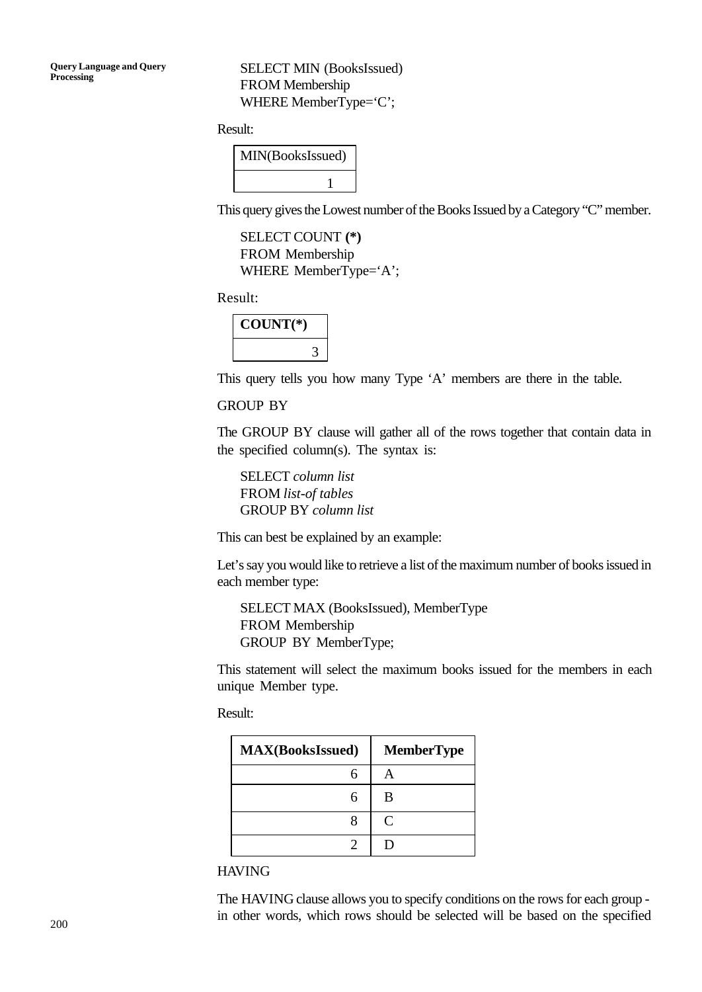SELECT MIN (BooksIssued) FROM Membership WHERE MemberType='C';

Result:

| MIN(BooksIssued) |  |
|------------------|--|
|                  |  |

This query gives the Lowest number of the Books Issued by a Category "C" member.

SELECT COUNT **(\*)** FROM Membership WHERE MemberType='A';

Result:

| $COUNT(*)$ |  |
|------------|--|
|            |  |

This query tells you how many Type 'A' members are there in the table.

#### GROUP BY

The GROUP BY clause will gather all of the rows together that contain data in the specified column(s). The syntax is:

SELECT *column list* FROM *list-of tables* GROUP BY *column list*

This can best be explained by an example:

Let's say you would like to retrieve a list of the maximum number of books issued in each member type:

SELECT MAX (BooksIssued), MemberType FROM Membership GROUP BY MemberType;

This statement will select the maximum books issued for the members in each unique Member type.

Result:

| <b>MAX(BooksIssued)</b> | <b>MemberType</b>           |
|-------------------------|-----------------------------|
|                         |                             |
|                         | В                           |
|                         | $\mathcal{C}_{\mathcal{C}}$ |
|                         |                             |

**HAVING** 

The HAVING clause allows you to specify conditions on the rows for each group in other words, which rows should be selected will be based on the specified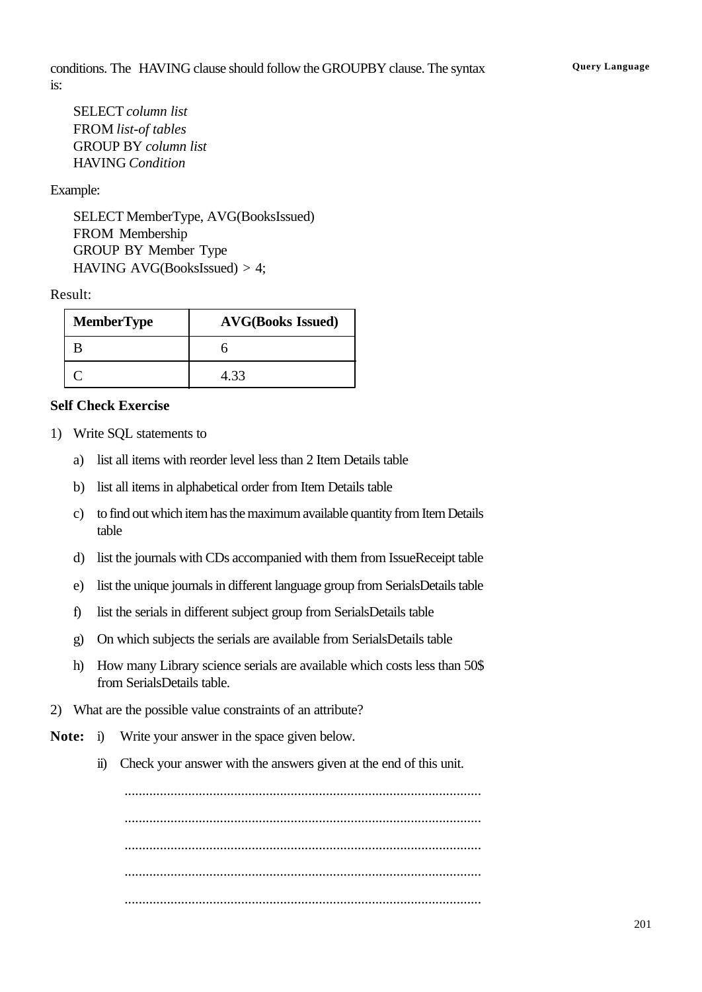SELECT *column list* FROM *list-of tables* GROUP BY *column list* HAVING *Condition*

#### Example:

SELECT MemberType, AVG(BooksIssued) FROM Membership GROUP BY Member Type HAVING AVG(BooksIssued) > 4;

#### Result:

| <b>MemberType</b> | <b>AVG(Books Issued)</b> |
|-------------------|--------------------------|
|                   |                          |
|                   | 4.33                     |

#### **Self Check Exercise**

- 1) Write SQL statements to
	- a) list all items with reorder level less than 2 Item Details table
	- b) list all items in alphabetical order from Item Details table
	- c) to find out which item has the maximum available quantity from Item Details table
	- d) list the journals with CDs accompanied with them from IssueReceipt table
	- e) list the unique journals in different language group from SerialsDetails table
	- f) list the serials in different subject group from SerialsDetails table
	- g) On which subjects the serials are available from SerialsDetails table
	- h) How many Library science serials are available which costs less than 50\$ from SerialsDetails table.
- 2) What are the possible value constraints of an attribute?
- **Note:** i) Write your answer in the space given below.
	- ii) Check your answer with the answers given at the end of this unit.

..................................................................................................... ..................................................................................................... ..................................................................................................... ..................................................................................................... .....................................................................................................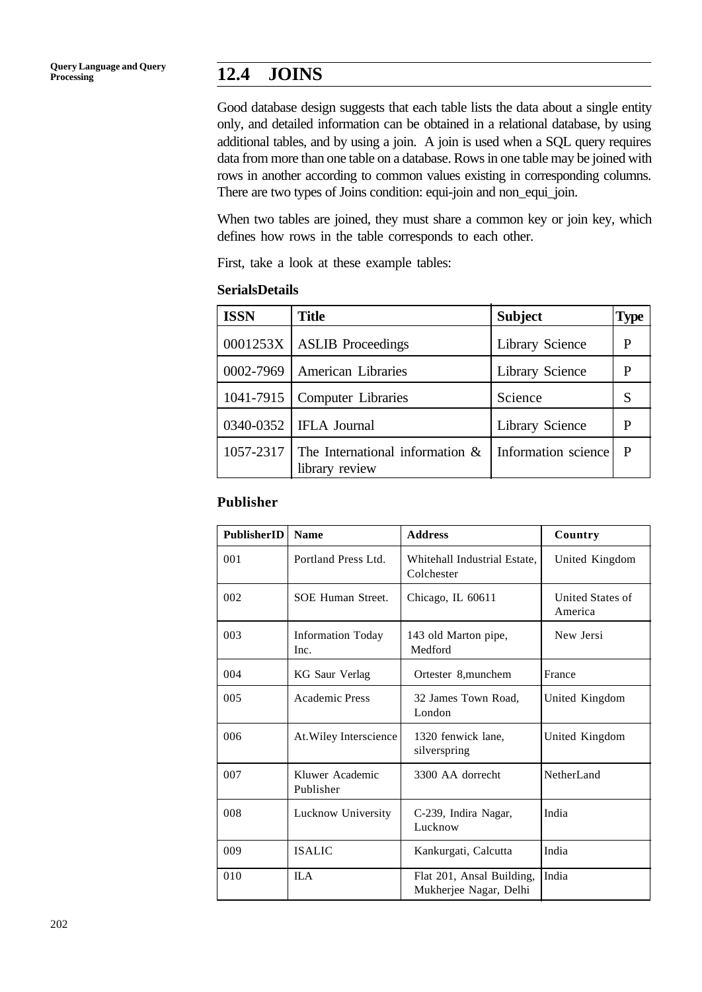Good database design suggests that each table lists the data about a single entity only, and detailed information can be obtained in a relational database, by using additional tables, and by using a join. A join is used when a SQL query requires data from more than one table on a database. Rows in one table may be joined with rows in another according to common values existing in corresponding columns. There are two types of Joins condition: equi-join and non\_equi\_join.

When two tables are joined, they must share a common key or join key, which defines how rows in the table corresponds to each other.

First, take a look at these example tables:

#### **SerialsDetails**

| <b>ISSN</b> | <b>Title</b>                                         | <b>Subject</b>      | <b>Type</b> |
|-------------|------------------------------------------------------|---------------------|-------------|
|             | $0001253X$   ASLIB Proceedings                       | Library Science     | P           |
|             | 0002-7969   American Libraries                       | Library Science     | P           |
|             | 1041-7915   Computer Libraries                       | Science             | S           |
|             | 0340-0352   IFLA Journal                             | Library Science     | P           |
| 1057-2317   | The International information $\&$<br>library review | Information science | P           |

#### **Publisher**

| <b>PublisherID</b> | <b>Name</b>                      | <b>Address</b>                                      | Country                     |
|--------------------|----------------------------------|-----------------------------------------------------|-----------------------------|
| 001                | Portland Press Ltd.              | Whitehall Industrial Estate,<br>Colchester          | United Kingdom              |
| 002                | <b>SOE Human Street.</b>         | Chicago, IL 60611                                   | United States of<br>America |
| 003                | <b>Information Today</b><br>Inc. | 143 old Marton pipe,<br>Medford                     | New Jersi                   |
| 004                | KG Saur Verlag                   | Ortester 8,munchem                                  | France                      |
| 005                | <b>Academic Press</b>            | 32 James Town Road,<br>London                       | United Kingdom              |
| 006                | At. Wiley Interscience           | 1320 fenwick lane,<br>silverspring                  | United Kingdom              |
| 007                | Kluwer Academic<br>Publisher     | 3300 AA dorrecht                                    | <b>NetherLand</b>           |
| 008                | Lucknow University               | C-239, Indira Nagar,<br>Lucknow                     | India                       |
| 009                | <b>ISALIC</b>                    | Kankurgati, Calcutta                                | India                       |
| 010                | <b>ILA</b>                       | Flat 201, Ansal Building,<br>Mukherjee Nagar, Delhi | India                       |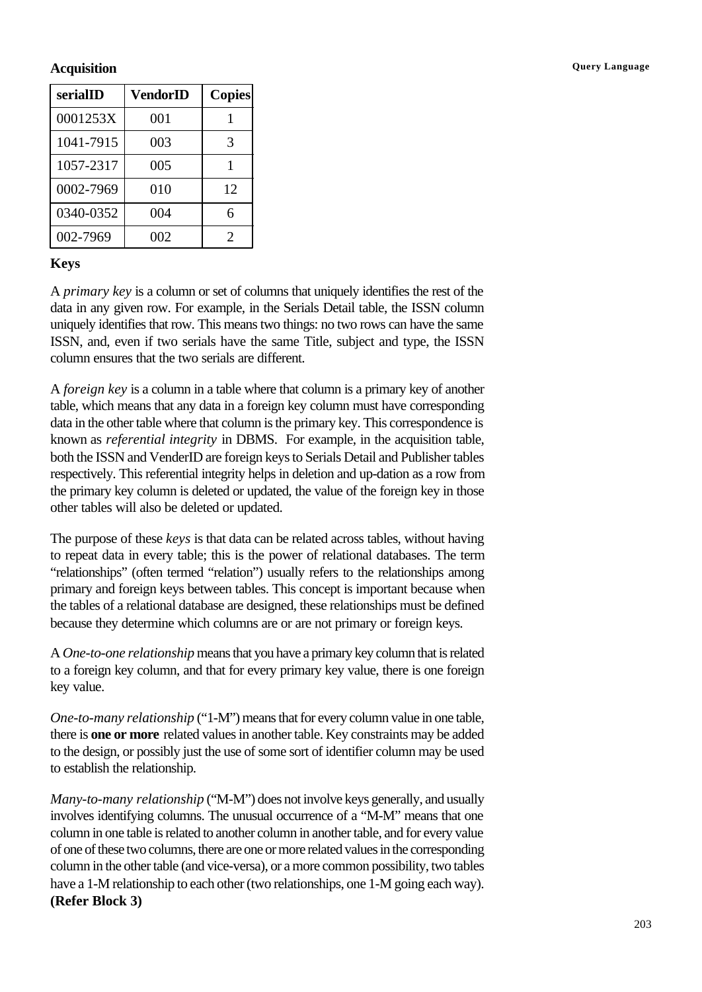#### **Acquisition Query Language**

| serialID  | VendorID | <b>Copies</b>          |
|-----------|----------|------------------------|
| 0001253X  | 001      |                        |
| 1041-7915 | 003      | $\mathcal{R}$          |
| 1057-2317 | 005      |                        |
| 0002-7969 | 010      | 12                     |
| 0340-0352 | 004      | 6                      |
| 002-7969  | 002      | $\mathfrak{D}_{\cdot}$ |

#### **Keys**

A *primary key* is a column or set of columns that uniquely identifies the rest of the data in any given row. For example, in the Serials Detail table, the ISSN column uniquely identifies that row. This means two things: no two rows can have the same ISSN, and, even if two serials have the same Title, subject and type, the ISSN column ensures that the two serials are different.

A *foreign key* is a column in a table where that column is a primary key of another table, which means that any data in a foreign key column must have corresponding data in the other table where that column is the primary key. This correspondence is known as *referential integrity* in DBMS. For example, in the acquisition table, both the ISSN and VenderID are foreign keys to Serials Detail and Publisher tables respectively. This referential integrity helps in deletion and up-dation as a row from the primary key column is deleted or updated, the value of the foreign key in those other tables will also be deleted or updated.

The purpose of these *keys* is that data can be related across tables, without having to repeat data in every table; this is the power of relational databases. The term "relationships" (often termed "relation") usually refers to the relationships among primary and foreign keys between tables. This concept is important because when the tables of a relational database are designed, these relationships must be defined because they determine which columns are or are not primary or foreign keys.

A *One-to-one relationship* means that you have a primary key column that is related to a foreign key column, and that for every primary key value, there is one foreign key value.

*One-to-many relationship* ("1-M") means that for every column value in one table, there is **one or more** related values in another table. Key constraints may be added to the design, or possibly just the use of some sort of identifier column may be used to establish the relationship.

*Many-to-many relationship* ("M-M") does not involve keys generally, and usually involves identifying columns. The unusual occurrence of a "M-M" means that one column in one table is related to another column in another table, and for every value of one of these two columns, there are one or more related values in the corresponding column in the other table (and vice-versa), or a more common possibility, two tables have a 1-M relationship to each other (two relationships, one 1-M going each way). **(Refer Block 3)**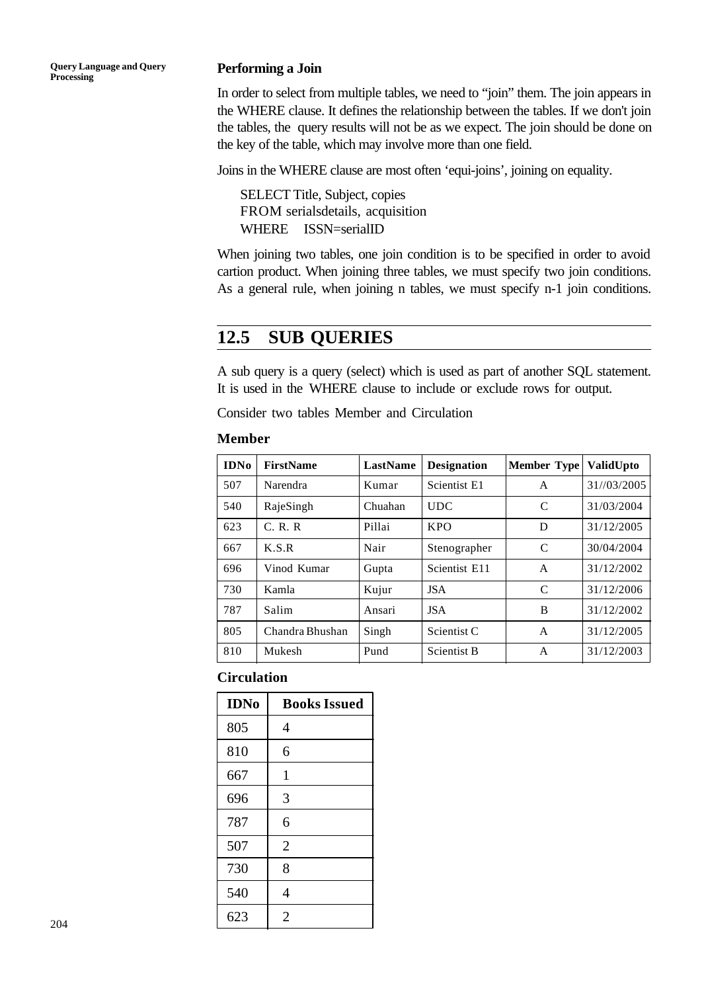**Query Language and Query Processing**

#### **Performing a Join**

In order to select from multiple tables, we need to "join" them. The join appears in the WHERE clause. It defines the relationship between the tables. If we don't join the tables, the query results will not be as we expect. The join should be done on the key of the table, which may involve more than one field.

Joins in the WHERE clause are most often 'equi-joins', joining on equality.

SELECT Title, Subject, copies FROM serialsdetails, acquisition WHERE ISSN=serialID

When joining two tables, one join condition is to be specified in order to avoid cartion product. When joining three tables, we must specify two join conditions. As a general rule, when joining n tables, we must specify n-1 join conditions.

## **12.5 SUB QUERIES**

A sub query is a query (select) which is used as part of another SQL statement. It is used in the WHERE clause to include or exclude rows for output.

Consider two tables Member and Circulation

#### **Member**

| <b>IDNo</b> | <b>FirstName</b> | LastName | <b>Designation</b>     | <b>Member Type</b> | ValidUpto   |
|-------------|------------------|----------|------------------------|--------------------|-------------|
| 507         | Narendra         | Kumar    | Scientist E1           | A                  | 31//03/2005 |
| 540         | RajeSingh        | Chuahan  | <b>UDC</b>             | C                  | 31/03/2004  |
| 623         | C. R. R          | Pillai   | <b>KPO</b>             | D                  | 31/12/2005  |
| 667         | K.S.R            | Nair     | Stenographer           | C                  | 30/04/2004  |
| 696         | Vinod Kumar      | Gupta    | Scientist E11          | A                  | 31/12/2002  |
| 730         | Kamla            | Kujur    | <b>JSA</b>             | C                  | 31/12/2006  |
| 787         | Salim            | Ansari   | <b>JSA</b>             | B                  | 31/12/2002  |
| 805         | Chandra Bhushan  | Singh    | Scientist <sub>C</sub> | A                  | 31/12/2005  |
| 810         | Mukesh           | Pund     | <b>Scientist B</b>     | A                  | 31/12/2003  |

#### **Circulation**

| <b>IDNo</b> | <b>Books Issued</b> |
|-------------|---------------------|
| 805         | 4                   |
| 810         | 6                   |
| 667         | $\mathbf{1}$        |
| 696         | 3                   |
| 787         | 6                   |
| 507         | $\overline{2}$      |
| 730         | 8                   |
| 540         | 4                   |
| 623         | $\overline{2}$      |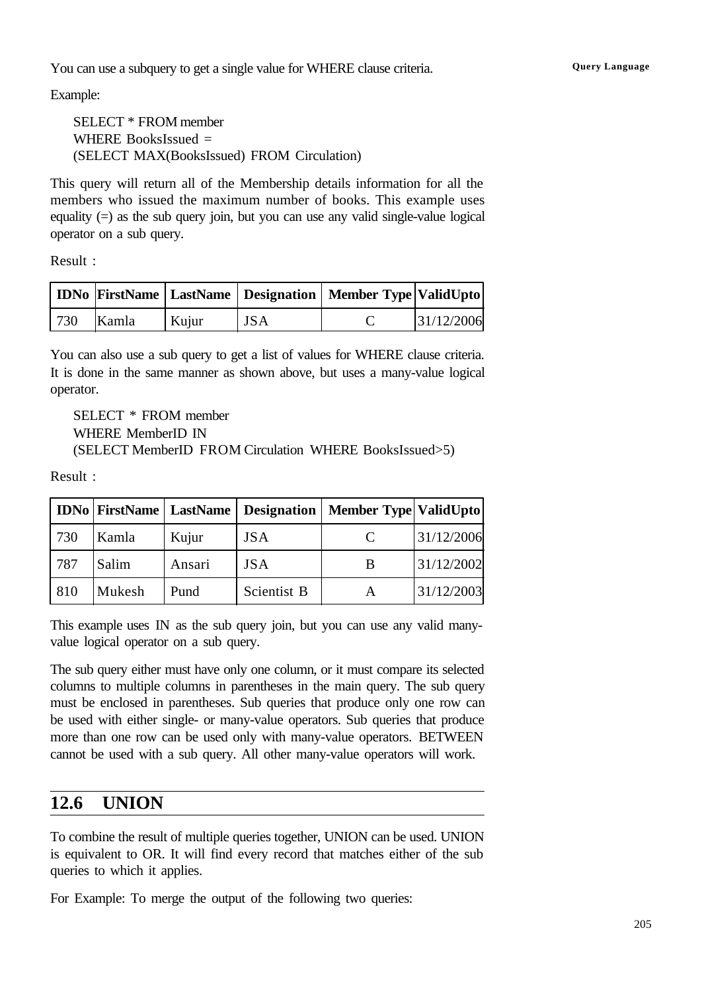You can use a subquery to get a single value for WHERE clause criteria. **Query Language** 

Example:

SELECT \* FROM member WHERE BooksIssued  $=$ (SELECT MAX(BooksIssued) FROM Circulation)

This query will return all of the Membership details information for all the members who issued the maximum number of books. This example uses equality  $(=)$  as the sub query join, but you can use any valid single-value logical operator on a sub query.

Result :

|     |       |       |            | IDNo   FirstName   LastName   Designation   Member Type   ValidUpto |            |
|-----|-------|-------|------------|---------------------------------------------------------------------|------------|
| 730 | Kamla | Kujur | <b>JSA</b> |                                                                     | 31/12/2006 |

You can also use a sub query to get a list of values for WHERE clause criteria. It is done in the same manner as shown above, but uses a many-value logical operator.

SELECT \* FROM member WHERE MemberID IN (SELECT MemberID FROM Circulation WHERE BooksIssued>5)

Result :

|     |        |        |             | IDNo   FirstName   LastName   Designation   Member Type   ValidUpto |            |
|-----|--------|--------|-------------|---------------------------------------------------------------------|------------|
| 730 | Kamla  | Kujur  | <b>JSA</b>  |                                                                     | 31/12/2006 |
| 787 | Salim  | Ansari | <b>JSA</b>  |                                                                     | 31/12/2002 |
| 810 | Mukesh | Pund   | Scientist B |                                                                     | 31/12/2003 |

This example uses IN as the sub query join, but you can use any valid manyvalue logical operator on a sub query.

The sub query either must have only one column, or it must compare its selected columns to multiple columns in parentheses in the main query. The sub query must be enclosed in parentheses. Sub queries that produce only one row can be used with either single- or many-value operators. Sub queries that produce more than one row can be used only with many-value operators. BETWEEN cannot be used with a sub query. All other many-value operators will work.

## **12.6 UNION**

To combine the result of multiple queries together, UNION can be used. UNION is equivalent to OR. It will find every record that matches either of the sub queries to which it applies.

For Example: To merge the output of the following two queries: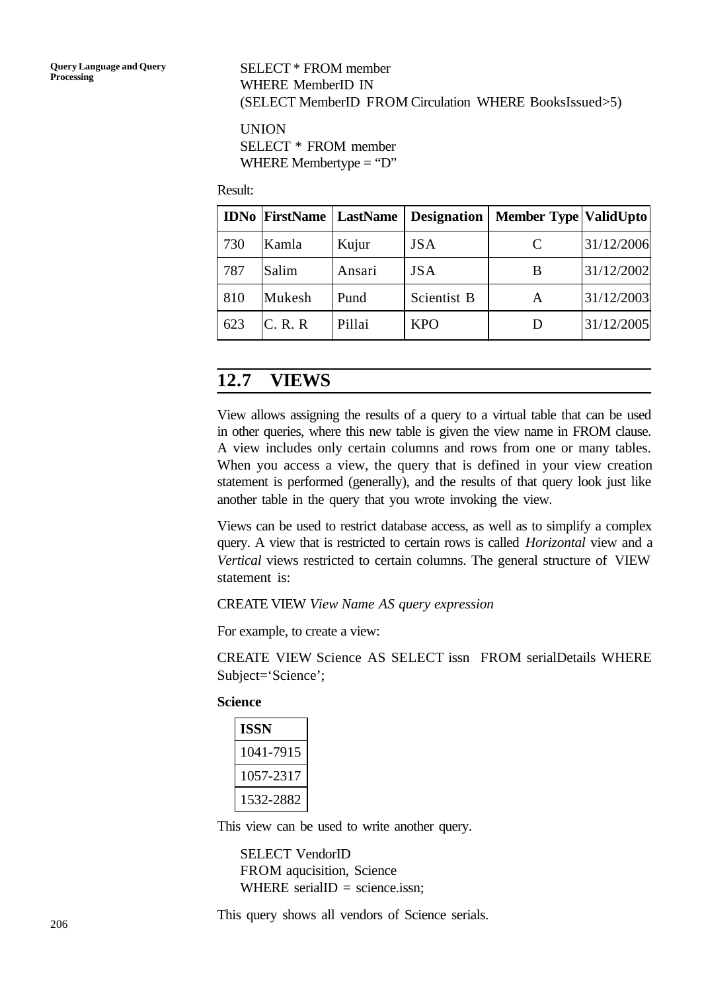#### SELECT \* FROM member WHERE MemberID IN (SELECT MemberID FROM Circulation WHERE BooksIssued>5)

UNION SELECT \* FROM member WHERE Membertype = "D"

Result:

|     |          | <b>IDNo FirstName   LastName</b> | Designation | <b>Member Type ValidUpto</b> |            |
|-----|----------|----------------------------------|-------------|------------------------------|------------|
| 730 | Kamla    | Kujur                            | <b>JSA</b>  | C                            | 31/12/2006 |
| 787 | Salim    | Ansari                           | <b>JSA</b>  | B                            | 31/12/2002 |
| 810 | Mukesh   | Pund                             | Scientist B | A                            | 31/12/2003 |
| 623 | IC. R. R | Pillai                           | <b>KPO</b>  | $\blacksquare$               | 31/12/2005 |

## **12.7 VIEWS**

View allows assigning the results of a query to a virtual table that can be used in other queries, where this new table is given the view name in FROM clause. A view includes only certain columns and rows from one or many tables. When you access a view, the query that is defined in your view creation statement is performed (generally), and the results of that query look just like another table in the query that you wrote invoking the view.

Views can be used to restrict database access, as well as to simplify a complex query. A view that is restricted to certain rows is called *Horizontal* view and a *Vertical* views restricted to certain columns. The general structure of VIEW statement is:

CREATE VIEW *View Name AS query expression*

For example, to create a view:

CREATE VIEW Science AS SELECT issn FROM serialDetails WHERE Subject='Science';

**Science**

| ISSN      |
|-----------|
| 1041-7915 |
| 1057-2317 |
| 1532-2882 |

This view can be used to write another query.

SELECT VendorID FROM aqucisition, Science WHERE serialID = science.issn;

This query shows all vendors of Science serials.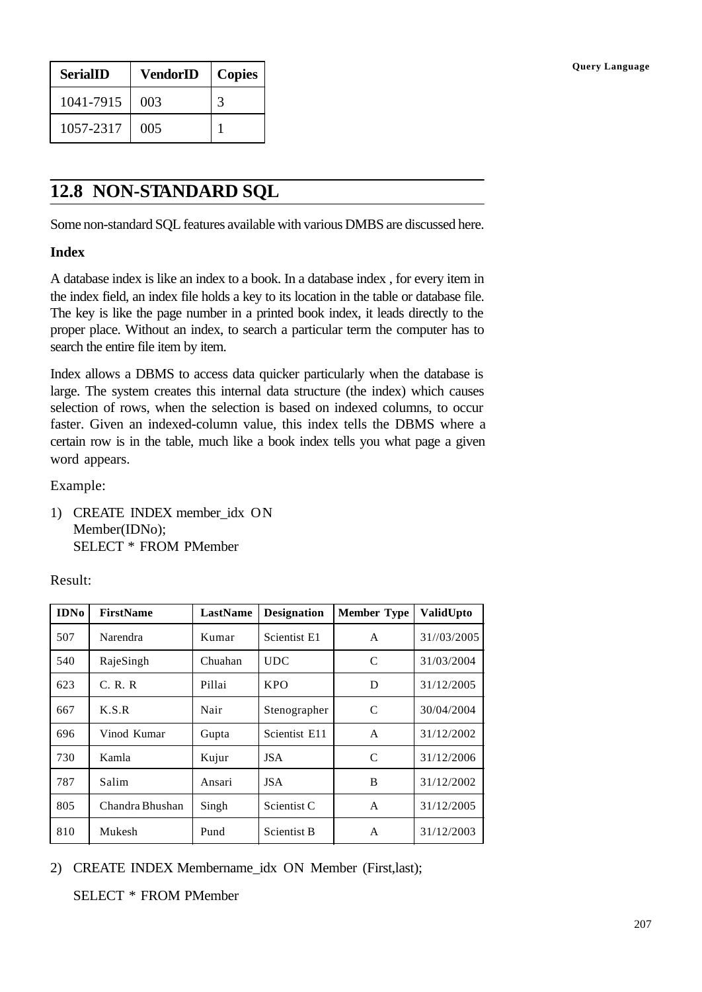| <b>SerialID</b> | <b>VendorID</b> | Copies |
|-----------------|-----------------|--------|
| 1041-7915       | 003             |        |
| 1057-2317       | 005             |        |

## **12.8 NON-STANDARD SQL**

Some non-standard SQL features available with various DMBS are discussed here.

#### **Index**

A database index is like an index to a book. In a database index , for every item in the index field, an index file holds a key to its location in the table or database file. The key is like the page number in a printed book index, it leads directly to the proper place. Without an index, to search a particular term the computer has to search the entire file item by item.

Index allows a DBMS to access data quicker particularly when the database is large. The system creates this internal data structure (the index) which causes selection of rows, when the selection is based on indexed columns, to occur faster. Given an indexed-column value, this index tells the DBMS where a certain row is in the table, much like a book index tells you what page a given word appears.

Example:

1) CREATE INDEX member\_idx ON Member(IDNo); SELECT \* FROM PMember

Result:

| <b>IDNo</b> | <b>FirstName</b> | LastName | <b>Designation</b> | <b>Member Type</b> | ValidUpto   |
|-------------|------------------|----------|--------------------|--------------------|-------------|
| 507         | Narendra         | Kumar    | Scientist E1       | A                  | 31//03/2005 |
| 540         | RajeSingh        | Chuahan  | <b>UDC</b>         | C                  | 31/03/2004  |
| 623         | C. R. R          | Pillai   | <b>KPO</b>         | D                  | 31/12/2005  |
| 667         | K.S.R            | Nair     | Stenographer       | $\mathcal{C}$      | 30/04/2004  |
| 696         | Vinod Kumar      | Gupta    | Scientist E11      | A                  | 31/12/2002  |
| 730         | Kamla            | Kujur    | <b>JSA</b>         | C                  | 31/12/2006  |
| 787         | Salim            | Ansari   | <b>JSA</b>         | B                  | 31/12/2002  |
| 805         | Chandra Bhushan  | Singh    | Scientist C        | A                  | 31/12/2005  |
| 810         | Mukesh           | Pund     | <b>Scientist B</b> | A                  | 31/12/2003  |

2) CREATE INDEX Membername\_idx ON Member (First,last);

SELECT \* FROM PMember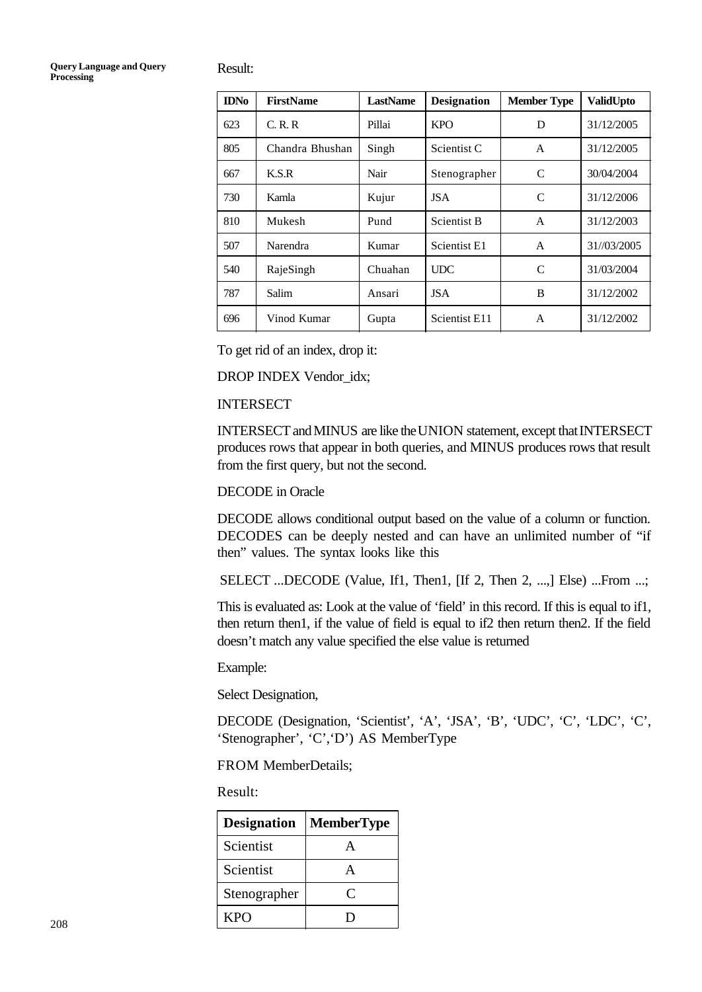Result:

| <b>IDNo</b> | FirstName       | <b>LastName</b> | <b>Designation</b> | <b>Member Type</b> | ValidUpto   |
|-------------|-----------------|-----------------|--------------------|--------------------|-------------|
| 623         | C, R, R         | Pillai          | <b>KPO</b>         | D                  | 31/12/2005  |
| 805         | Chandra Bhushan | Singh           | Scientist C        | A                  | 31/12/2005  |
| 667         | K.S.R           | Nair            | Stenographer       | C                  | 30/04/2004  |
| 730         | Kamla           | Kujur           | <b>JSA</b>         | C                  | 31/12/2006  |
| 810         | Mukesh          | Pund            | <b>Scientist B</b> | A                  | 31/12/2003  |
| 507         | Narendra        | Kumar           | Scientist E1       | A                  | 31//03/2005 |
| 540         | RajeSingh       | Chuahan         | <b>UDC</b>         | C                  | 31/03/2004  |
| 787         | Salim           | Ansari          | <b>JSA</b>         | B                  | 31/12/2002  |
| 696         | Vinod Kumar     | Gupta           | Scientist E11      | A                  | 31/12/2002  |

To get rid of an index, drop it:

DROP INDEX Vendor\_idx;

#### INTERSECT

INTERSECT and MINUS are like the UNION statement, except that INTERSECT produces rows that appear in both queries, and MINUS produces rows that result from the first query, but not the second.

DECODE in Oracle

DECODE allows conditional output based on the value of a column or function. DECODES can be deeply nested and can have an unlimited number of "if then" values. The syntax looks like this

SELECT ...DECODE (Value, If1, Then1, [If 2, Then 2, ...,] Else) ...From ...;

This is evaluated as: Look at the value of 'field' in this record. If this is equal to if1, then return then1, if the value of field is equal to if2 then return then2. If the field doesn't match any value specified the else value is returned

Example:

Select Designation,

DECODE (Designation, 'Scientist', 'A', 'JSA', 'B', 'UDC', 'C', 'LDC', 'C', 'Stenographer', 'C','D') AS MemberType

FROM MemberDetails;

Result:

| <b>Designation</b> | <b>MemberType</b> |
|--------------------|-------------------|
| Scientist          |                   |
| Scientist          |                   |
| Stenographer       | Γ,                |
| KPO                |                   |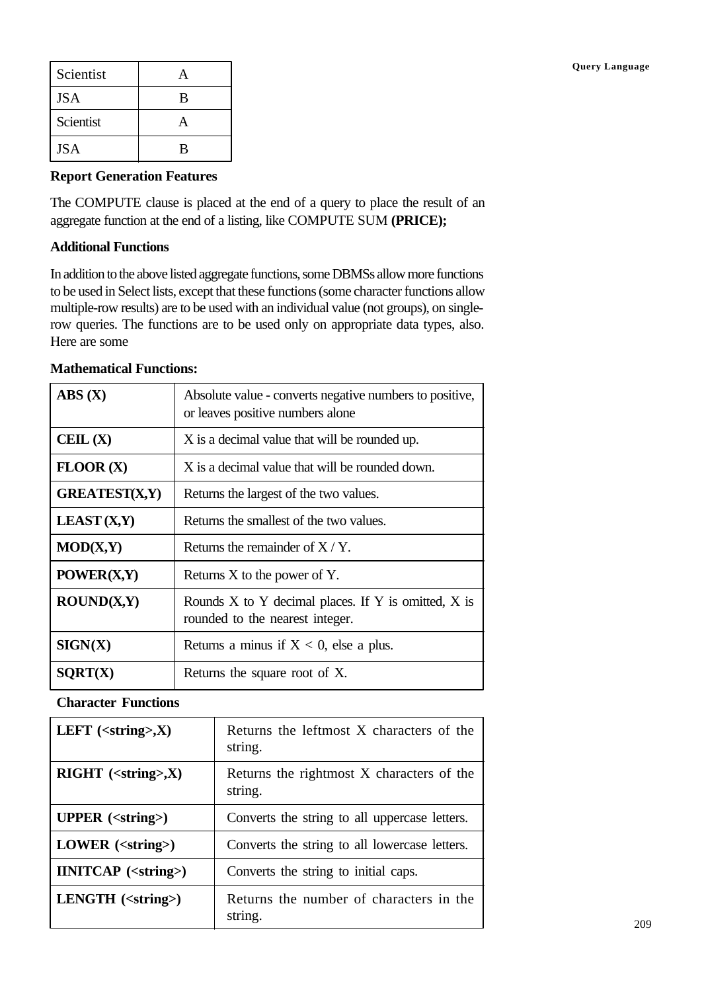| Scientist  |   |
|------------|---|
| <b>JSA</b> | B |
| Scientist  |   |
| <b>JSA</b> | B |

#### **Report Generation Features**

The COMPUTE clause is placed at the end of a query to place the result of an aggregate function at the end of a listing, like COMPUTE SUM **(PRICE);**

#### **Additional Functions**

In addition to the above listed aggregate functions, some DBMSs allow more functions to be used in Select lists, except that these functions (some character functions allow multiple-row results) are to be used with an individual value (not groups), on singlerow queries. The functions are to be used only on appropriate data types, also. Here are some

#### **Mathematical Functions:**

| $\mathbf{ABS}\left( \mathbf{X}\right)$        | Absolute value - converts negative numbers to positive,<br>or leaves positive numbers alone    |
|-----------------------------------------------|------------------------------------------------------------------------------------------------|
| $\mathbf{C}\mathbf{E}\mathbf{IL}(\mathbf{X})$ | X is a decimal value that will be rounded up.                                                  |
| FLOOR(X)                                      | X is a decimal value that will be rounded down.                                                |
| <b>GREATEST(X,Y)</b>                          | Returns the largest of the two values.                                                         |
| <b>LEAST</b> $(X,Y)$                          | Returns the smallest of the two values.                                                        |
| MOD(X,Y)                                      | Returns the remainder of $X/Y$ .                                                               |
| POWER(X,Y)                                    | Returns $X$ to the power of $Y$ .                                                              |
| ROUND(X,Y)                                    | Rounds $X$ to $Y$ decimal places. If $Y$ is omitted, $X$ is<br>rounded to the nearest integer. |
| SIGN(X)                                       | Returns a minus if $X < 0$ , else a plus.                                                      |
| SORT(X)                                       | Returns the square root of X.                                                                  |

#### **Character Functions**

| LEFT $(<\text{string}>$ , $X$ )      | Returns the leftmost X characters of the<br>string.  |
|--------------------------------------|------------------------------------------------------|
| $RIGHT$ ( <string>,X)</string>       | Returns the rightmost X characters of the<br>string. |
| <b>UPPER</b> ( <string>)</string>    | Converts the string to all uppercase letters.        |
| $LOWER$ ( $\leq$ string $>$ )        | Converts the string to all lowercase letters.        |
| <b>IINITCAP</b> ( <string>)</string> | Converts the string to initial caps.                 |
| $LENGTH$ ( $\leq$ string $>$ )       | Returns the number of characters in the<br>string.   |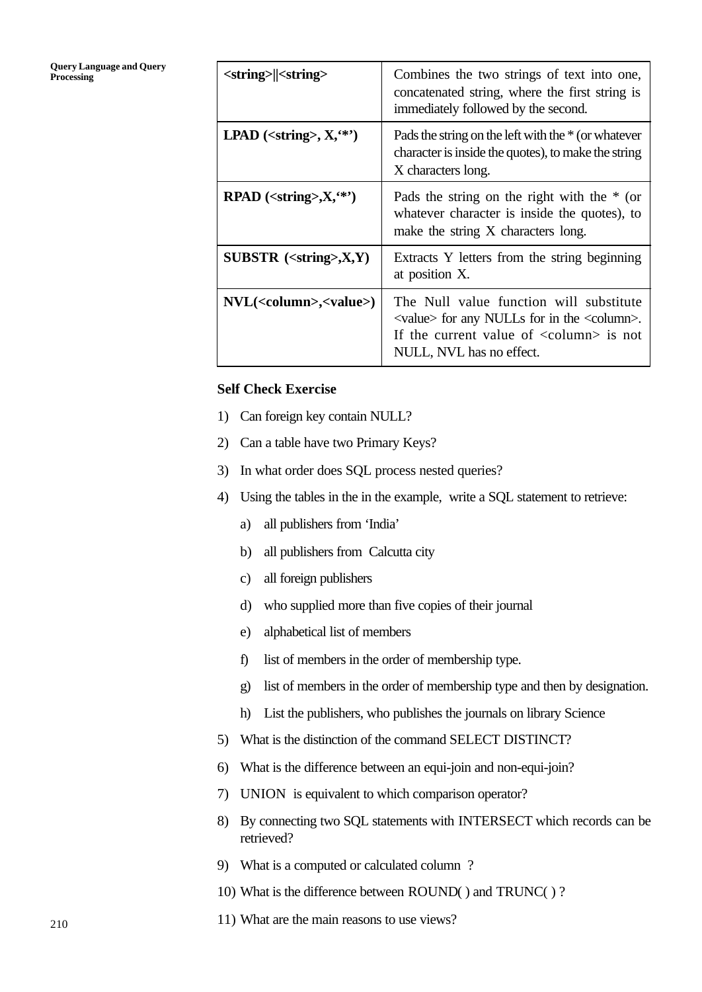## **Query Language and Query**

| <b>Query Language and Query</b><br><b>Processing</b> | <string>  <string></string></string>                        | Combines the two strings of text into one,<br>concatenated string, where the first string is<br>immediately followed by the second.                                                                                 |
|------------------------------------------------------|-------------------------------------------------------------|---------------------------------------------------------------------------------------------------------------------------------------------------------------------------------------------------------------------|
|                                                      | LPAD ( <string>, <math>X</math>, <math>(*)</math>)</string> | Pads the string on the left with the $*$ (or whatever<br>character is inside the quotes), to make the string<br>X characters long.                                                                                  |
|                                                      | $\mathbb{R} \text{PAD}$ ( <string>,X, **')</string>         | Pads the string on the right with the $*$ (or<br>whatever character is inside the quotes), to<br>make the string X characters long.                                                                                 |
|                                                      | SUBSTR $(string),X,Y)$                                      | Extracts Y letters from the string beginning<br>at position X.                                                                                                                                                      |
|                                                      | $NVL(<$ column>, $\lt$ value>)                              | The Null value function will substitute<br>$\langle$ value $\rangle$ for any NULLs for in the $\langle$ column $\rangle$ .<br>If the current value of $\langle$ column $\rangle$ is not<br>NULL, NVL has no effect. |

#### **Self Check Exercise**

- 1) Can foreign key contain NULL?
- 2) Can a table have two Primary Keys?
- 3) In what order does SQL process nested queries?
- 4) Using the tables in the in the example, write a SQL statement to retrieve:
	- a) all publishers from 'India'
	- b) all publishers from Calcutta city
	- c) all foreign publishers
	- d) who supplied more than five copies of their journal
	- e) alphabetical list of members
	- f) list of members in the order of membership type.
	- g) list of members in the order of membership type and then by designation.
	- h) List the publishers, who publishes the journals on library Science
- 5) What is the distinction of the command SELECT DISTINCT?
- 6) What is the difference between an equi-join and non-equi-join?
- 7) UNION is equivalent to which comparison operator?
- 8) By connecting two SQL statements with INTERSECT which records can be retrieved?
- 9) What is a computed or calculated column ?
- 10) What is the difference between ROUND( ) and TRUNC( ) ?
- 11) What are the main reasons to use views?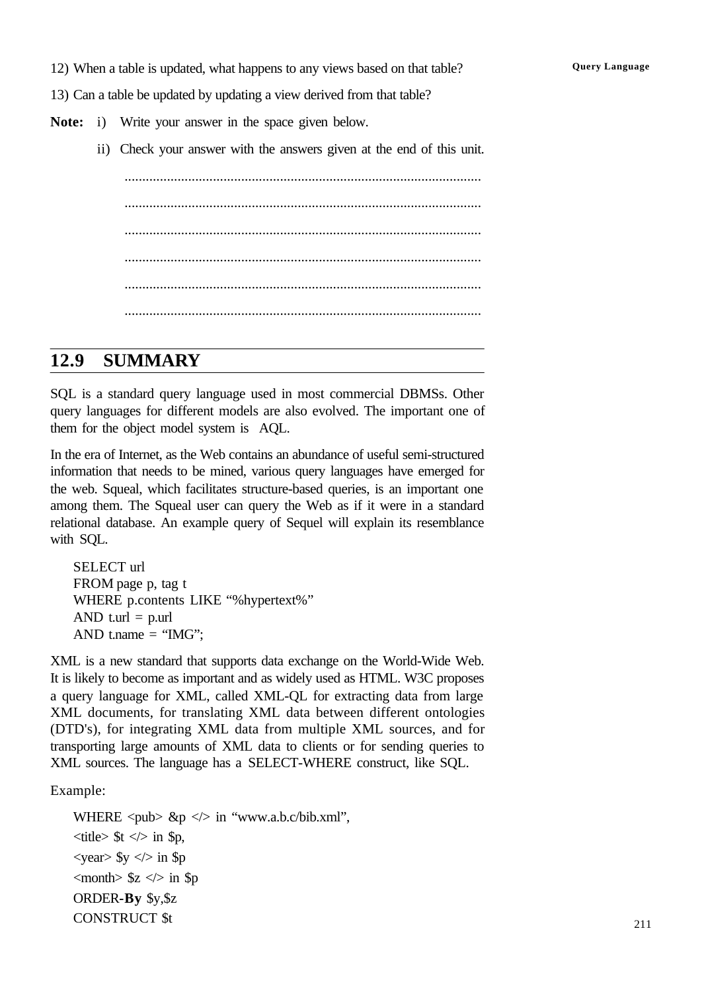12) When a table is updated, what happens to any views based on that table? **Query Language** 

13) Can a table be updated by updating a view derived from that table?

- **Note:** i) Write your answer in the space given below.
	- ii) Check your answer with the answers given at the end of this unit.

..................................................................................................... ..................................................................................................... ..................................................................................................... ..................................................................................................... ..................................................................................................... .....................................................................................................

## **12.9 SUMMARY**

SQL is a standard query language used in most commercial DBMSs. Other query languages for different models are also evolved. The important one of them for the object model system is AQL.

In the era of Internet, as the Web contains an abundance of useful semi-structured information that needs to be mined, various query languages have emerged for the web. Squeal, which facilitates structure-based queries, is an important one among them. The Squeal user can query the Web as if it were in a standard relational database. An example query of Sequel will explain its resemblance with SQL.

SELECT url FROM page p, tag t WHERE p.contents LIKE "%hypertext%" AND t.url  $=$  p.url AND t.name  $=$  "IMG";

XML is a new standard that supports data exchange on the World-Wide Web. It is likely to become as important and as widely used as HTML. W3C proposes a query language for XML, called XML-QL for extracting data from large XML documents, for translating XML data between different ontologies (DTD's), for integrating XML data from multiple XML sources, and for transporting large amounts of XML data to clients or for sending queries to XML sources. The language has a SELECT-WHERE construct, like SQL.

Example:

WHERE  $\langle \text{pub} \rangle$  &p  $\langle \rangle$  in "www.a.b.c/bib.xml",  $\langle$ title $>$  \$t  $\langle$  $>$  in \$p,  $\langle \text{year} \rangle$  \$y  $\langle \rangle$  in \$p  $\langle$  month $\rangle$  \$z  $\langle$  in \$p ORDER**-By** \$y,\$z CONSTRUCT \$t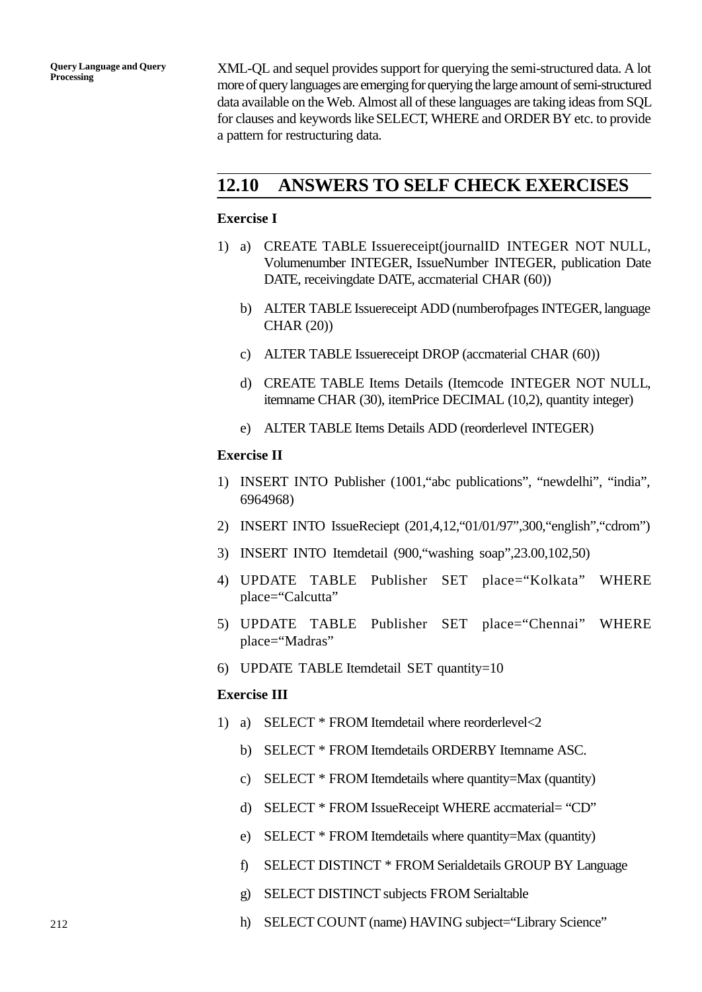**Query Language and Query Processing**

XML-QL and sequel provides support for querying the semi-structured data. A lot more of query languages are emerging for querying the large amount of semi-structured data available on the Web. Almost all of these languages are taking ideas from SQL for clauses and keywords like SELECT, WHERE and ORDER BY etc. to provide a pattern for restructuring data.

## **12.10 ANSWERS TO SELF CHECK EXERCISES**

#### **Exercise I**

- 1) a) CREATE TABLE Issuereceipt(journalID INTEGER NOT NULL, Volumenumber INTEGER, IssueNumber INTEGER, publication Date DATE, receivingdate DATE, accmaterial CHAR (60))
	- b) ALTER TABLE Issuereceipt ADD (numberofpages INTEGER, language CHAR (20))
	- c) ALTER TABLE Issuereceipt DROP (accmaterial CHAR (60))
	- d) CREATE TABLE Items Details (Itemcode INTEGER NOT NULL, itemname CHAR (30), itemPrice DECIMAL (10,2), quantity integer)
	- e) ALTER TABLE Items Details ADD (reorderlevel INTEGER)

#### **Exercise II**

- 1) INSERT INTO Publisher (1001,"abc publications", "newdelhi", "india", 6964968)
- 2) INSERT INTO IssueReciept (201,4,12,"01/01/97",300,"english","cdrom")
- 3) INSERT INTO Itemdetail (900,"washing soap",23.00,102,50)
- 4) UPDATE TABLE Publisher SET place="Kolkata" WHERE place="Calcutta"
- 5) UPDATE TABLE Publisher SET place="Chennai" WHERE place="Madras"
- 6) UPDATE TABLE Itemdetail SET quantity=10

#### **Exercise III**

- 1) a) SELECT \* FROM Itemdetail where reorderlevel<2
	- b) SELECT \* FROM Itemdetails ORDERBY Itemname ASC.
	- c) SELECT \* FROM Itemdetails where quantity=Max (quantity)
	- d) SELECT \* FROM IssueReceipt WHERE accmaterial= "CD"
	- e) SELECT \* FROM Itemdetails where quantity=Max (quantity)
	- f) SELECT DISTINCT \* FROM Serialdetails GROUP BY Language
	- g) SELECT DISTINCT subjects FROM Serialtable
	- h) SELECT COUNT (name) HAVING subject="Library Science"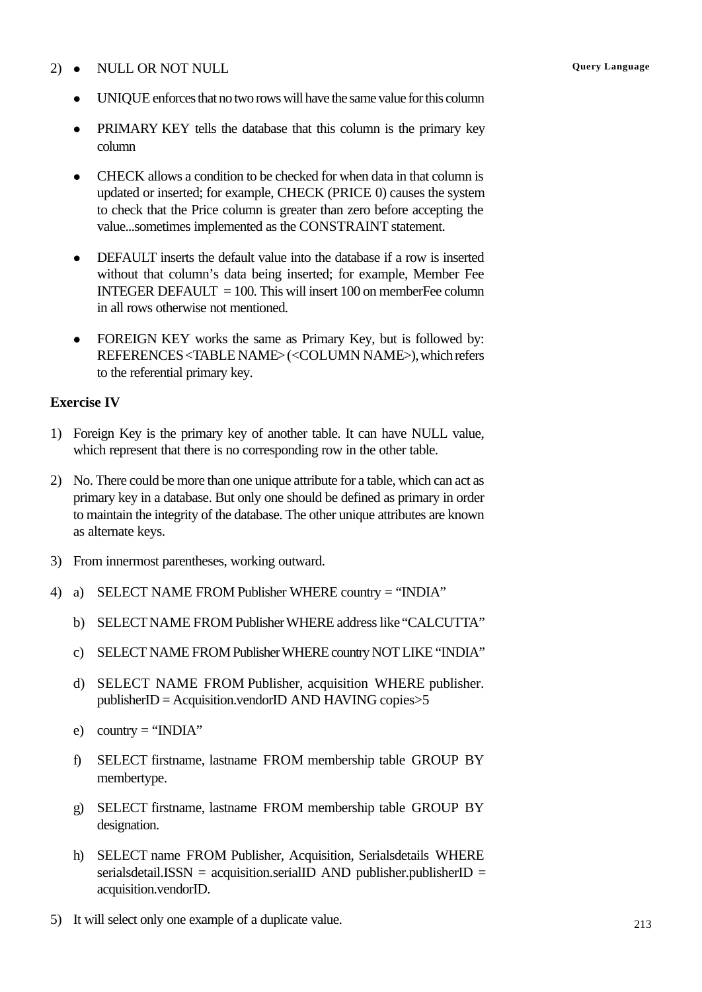#### 2) • NULL OR NOT NULL **QUELL CONSERVANCE CONSERVANCE CONSERVANCE CONSERVANCE CONSERVANCE CONSERVANCE CONSERVANCE CONSERVANCE CONSERVANCE CONSERVANCE CONSERVANCE CONSERVANCE CONSERVANCE CONSERVANCE CONSERVANCE CONSERVANCE C**

- UNIQUE enforces that no two rows will have the same value for this column
- PRIMARY KEY tells the database that this column is the primary key column
- <sup>l</sup> CHECK allows a condition to be checked for when data in that column is updated or inserted; for example, CHECK (PRICE 0) causes the system to check that the Price column is greater than zero before accepting the value...sometimes implemented as the CONSTRAINT statement.
- DEFAULT inserts the default value into the database if a row is inserted without that column's data being inserted; for example, Member Fee INTEGER DEFAULT  $= 100$ . This will insert 100 on memberFee column in all rows otherwise not mentioned.
- FOREIGN KEY works the same as Primary Key, but is followed by: REFERENCES <TABLE NAME> (<COLUMN NAME>), which refers to the referential primary key.

#### **Exercise IV**

- 1) Foreign Key is the primary key of another table. It can have NULL value, which represent that there is no corresponding row in the other table.
- 2) No. There could be more than one unique attribute for a table, which can act as primary key in a database. But only one should be defined as primary in order to maintain the integrity of the database. The other unique attributes are known as alternate keys.
- 3) From innermost parentheses, working outward.
- 4) a) SELECT NAME FROM Publisher WHERE country = "INDIA"
	- b) SELECT NAME FROM Publisher WHERE address like "CALCUTTA"
	- c) SELECT NAME FROM Publisher WHERE country NOT LIKE "INDIA"
	- d) SELECT NAME FROM Publisher, acquisition WHERE publisher. publisherID = Acquisition.vendorID AND HAVING copies>5
	- e) country = " $INDIA"$
	- f) SELECT firstname, lastname FROM membership table GROUP BY membertype.
	- g) SELECT firstname, lastname FROM membership table GROUP BY designation.
	- h) SELECT name FROM Publisher, Acquisition, Serialsdetails WHERE serialsdetail. ISSN = acquisition.serialID AND publisher.publisherID = acquisition.vendorID.
- 5) It will select only one example of a duplicate value.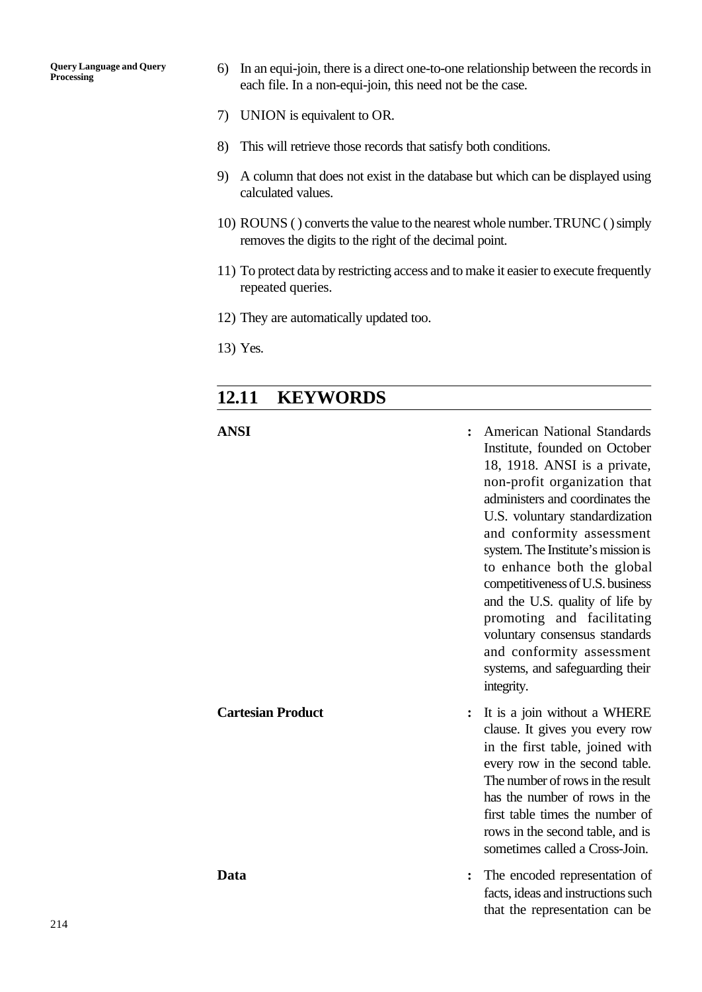**Query Language and Query Processing**

- 6) In an equi-join, there is a direct one-to-one relationship between the records in each file. In a non-equi-join, this need not be the case.
- 7) UNION is equivalent to OR.
- 8) This will retrieve those records that satisfy both conditions.
- 9) A column that does not exist in the database but which can be displayed using calculated values.
- 10) ROUNS ( ) converts the value to the nearest whole number. TRUNC ( ) simply removes the digits to the right of the decimal point.
- 11) To protect data by restricting access and to make it easier to execute frequently repeated queries.
- 12) They are automatically updated too.
- 13) Yes.

## **12.11 KEYWORDS**

#### **ANSI :** American National Standards

Institute, founded on October 18, 1918. ANSI is a private, non-profit organization that administers and coordinates the U.S. voluntary standardization and conformity assessment system. The Institute's mission is to enhance both the global competitiveness of U.S. business and the U.S. quality of life by promoting and facilitating voluntary consensus standards and conformity assessment systems, and safeguarding their integrity. **Cartesian Product :** It is a join without a WHERE clause. It gives you every row in the first table, joined with every row in the second table. The number of rows in the result has the number of rows in the first table times the number of rows in the second table, and is sometimes called a Cross-Join. **Data :** The encoded representation of facts, ideas and instructions such that the representation can be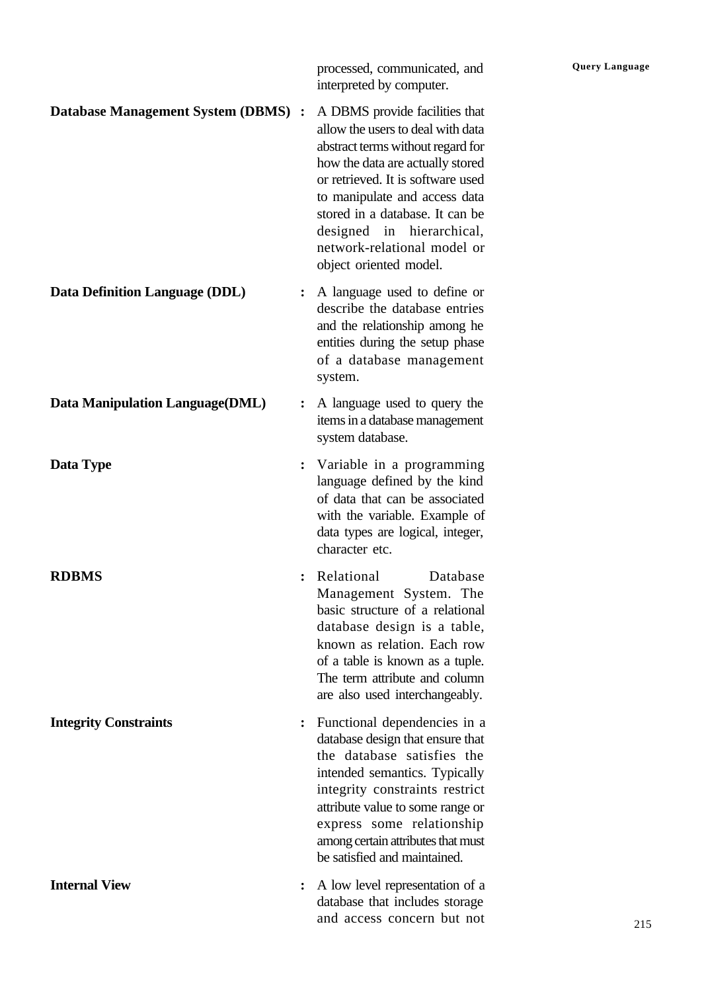processed, communicated, and **Query Language** interpreted by computer.

#### **Database Management System (DBMS) :** A DBMS provide facilities that

allow the users to deal with data abstract terms without regard for how the data are actually stored or retrieved. It is software used to manipulate and access data stored in a database. It can be designed in hierarchical, network-relational model or object oriented model.

- **Data Definition Language (DDL) :** A language used to define or describe the database entries and the relationship among he entities during the setup phase of a database management system.
- **Data Manipulation Language(DML) :** A language used to query the items in a database management system database.
- **Data Type :** Variable in a programming language defined by the kind of data that can be associated with the variable. Example of data types are logical, integer, character etc.
- **RDBMS :** Relational Database Management System. The basic structure of a relational database design is a table, known as relation. Each row of a table is known as a tuple. The term attribute and column are also used interchangeably.
- **Integrity Constraints :** Functional dependencies in a database design that ensure that the database satisfies the intended semantics. Typically integrity constraints restrict attribute value to some range or express some relationship among certain attributes that must be satisfied and maintained.
- **Internal View :** A low level representation of a database that includes storage and access concern but not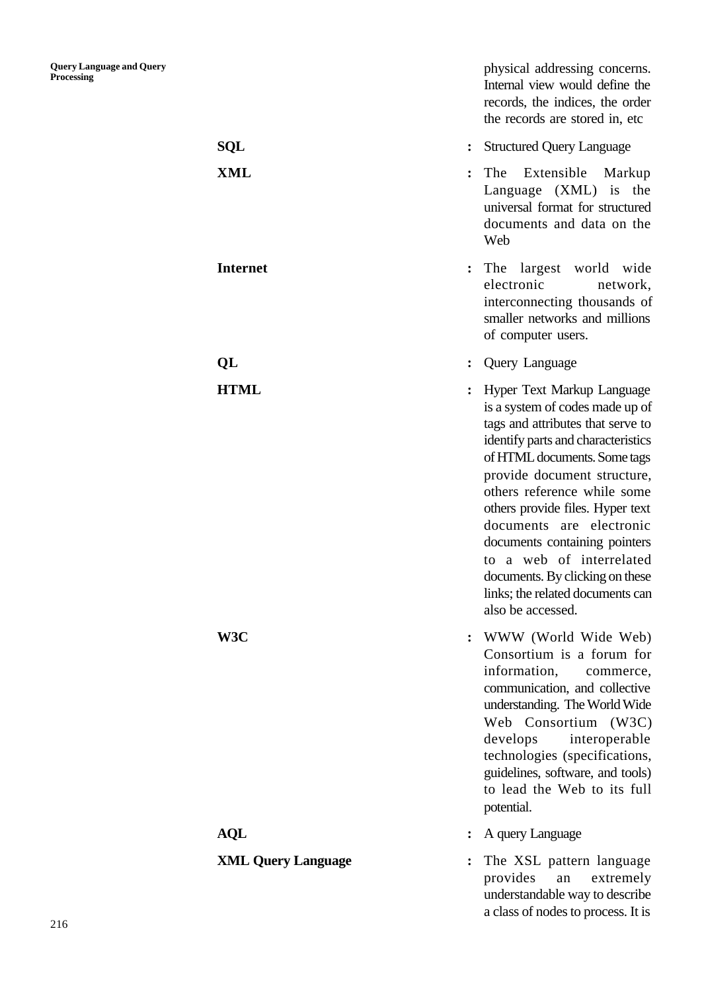|                           | physical addressing concerns.<br>Internal view would define the<br>records, the indices, the order<br>the records are stored in, etc.                                                                                                                                                                                                                                                                                                                           |
|---------------------------|-----------------------------------------------------------------------------------------------------------------------------------------------------------------------------------------------------------------------------------------------------------------------------------------------------------------------------------------------------------------------------------------------------------------------------------------------------------------|
| <b>SQL</b>                | <b>Structured Query Language</b>                                                                                                                                                                                                                                                                                                                                                                                                                                |
| XML                       | The<br>Extensible<br>Markup<br>Language (XML) is the<br>universal format for structured<br>documents and data on the<br>Web                                                                                                                                                                                                                                                                                                                                     |
| <b>Internet</b>           | largest world<br>wide<br>The<br>$\ddot{\cdot}$<br>electronic<br>network,<br>interconnecting thousands of<br>smaller networks and millions<br>of computer users.                                                                                                                                                                                                                                                                                                 |
| QL                        | Query Language                                                                                                                                                                                                                                                                                                                                                                                                                                                  |
| <b>HTML</b>               | Hyper Text Markup Language<br>is a system of codes made up of<br>tags and attributes that serve to<br>identify parts and characteristics<br>of HTML documents. Some tags<br>provide document structure,<br>others reference while some<br>others provide files. Hyper text<br>documents are electronic<br>documents containing pointers<br>to a web of interrelated<br>documents. By clicking on these<br>links; the related documents can<br>also be accessed. |
| W3C                       | : WWW (World Wide Web)<br>Consortium is a forum for<br>information,<br>commerce,<br>communication, and collective<br>understanding. The World Wide<br>Web Consortium (W3C)<br>develops<br>interoperable<br>technologies (specifications,<br>guidelines, software, and tools)<br>to lead the Web to its full<br>potential.                                                                                                                                       |
| <b>AQL</b>                | A query Language                                                                                                                                                                                                                                                                                                                                                                                                                                                |
| <b>XML Query Language</b> | The XSL pattern language<br>provides<br>extremely<br>an<br>understandable way to describe<br>a class of nodes to process. It is                                                                                                                                                                                                                                                                                                                                 |